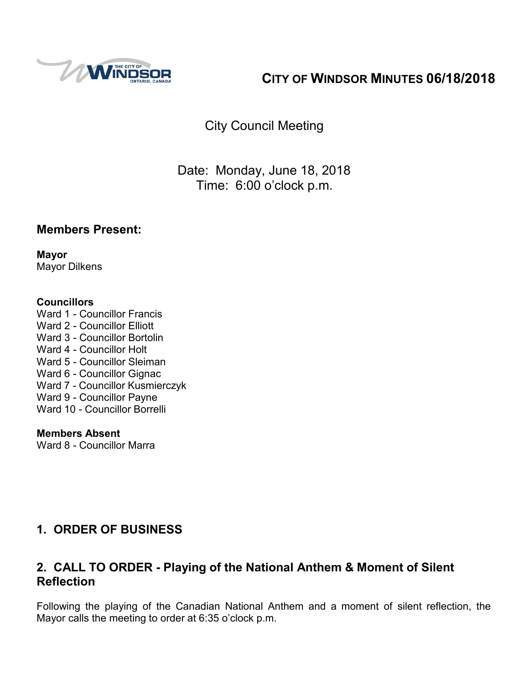

# **CITY OF WINDSOR MINUTES 06/18/2018**

City Council Meeting

Date: Monday, June 18, 2018 Time: 6:00 o'clock p.m.

## **Members Present:**

**Mayor** Mayor Dilkens

### **Councillors**

Ward 1 - Councillor Francis Ward 2 - Councillor Elliott Ward 3 - Councillor Bortolin Ward 4 - Councillor Holt Ward 5 - Councillor Sleiman Ward 6 - Councillor Gignac Ward 7 - Councillor Kusmierczyk Ward 9 - Councillor Payne Ward 10 - Councillor Borrelli

## **Members Absent**

Ward 8 - Councillor Marra

## **1. ORDER OF BUSINESS**

## **2. CALL TO ORDER - Playing of the National Anthem & Moment of Silent Reflection**

Following the playing of the Canadian National Anthem and a moment of silent reflection, the Mayor calls the meeting to order at 6:35 o'clock p.m.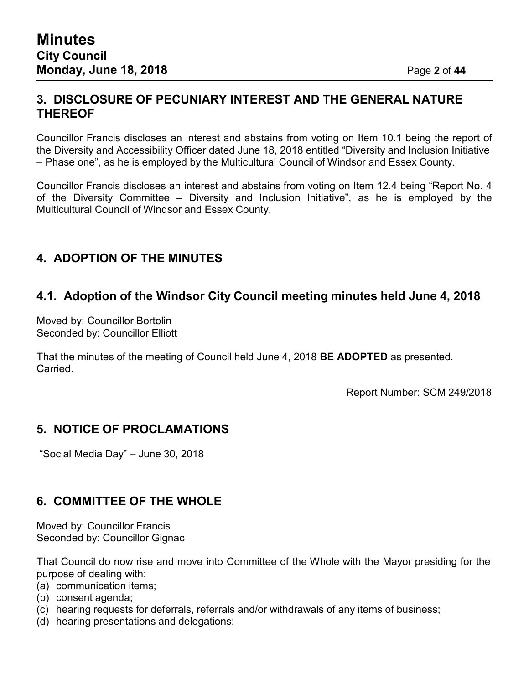## **3. DISCLOSURE OF PECUNIARY INTEREST AND THE GENERAL NATURE THEREOF**

Councillor Francis discloses an interest and abstains from voting on Item 10.1 being the report of the Diversity and Accessibility Officer dated June 18, 2018 entitled "Diversity and Inclusion Initiative – Phase one", as he is employed by the Multicultural Council of Windsor and Essex County.

Councillor Francis discloses an interest and abstains from voting on Item 12.4 being "Report No. 4 of the Diversity Committee – Diversity and Inclusion Initiative", as he is employed by the Multicultural Council of Windsor and Essex County.

## **4. ADOPTION OF THE MINUTES**

## **4.1. Adoption of the Windsor City Council meeting minutes held June 4, 2018**

Moved by: Councillor Bortolin Seconded by: Councillor Elliott

That the minutes of the meeting of Council held June 4, 2018 **BE ADOPTED** as presented. Carried.

Report Number: SCM 249/2018

## **5. NOTICE OF PROCLAMATIONS**

"Social Media Day" – June 30, 2018

## **6. COMMITTEE OF THE WHOLE**

Moved by: Councillor Francis Seconded by: Councillor Gignac

That Council do now rise and move into Committee of the Whole with the Mayor presiding for the purpose of dealing with:

- (a) communication items;
- (b) consent agenda;
- (c) hearing requests for deferrals, referrals and/or withdrawals of any items of business;
- (d) hearing presentations and delegations;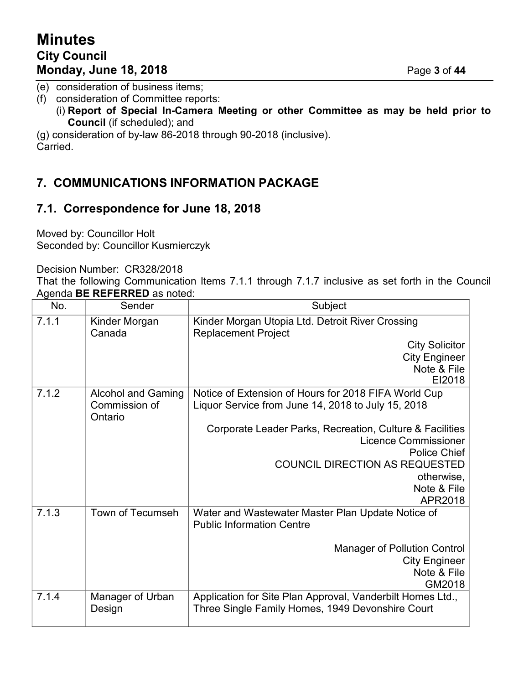# **Minutes City Council Monday, June 18, 2018** Page **3** of **44**

(e) consideration of business items;

(f) consideration of Committee reports:

(i) **Report of Special In-Camera Meeting or other Committee as may be held prior to Council** (if scheduled); and

(g) consideration of by-law 86-2018 through 90-2018 (inclusive). Carried.

## **7. COMMUNICATIONS INFORMATION PACKAGE**

## **7.1. Correspondence for June 18, 2018**

Moved by: Councillor Holt Seconded by: Councillor Kusmierczyk

Decision Number: CR328/2018

That the following Communication Items 7.1.1 through 7.1.7 inclusive as set forth in the Council Agenda **BE REFERRED** as noted:

| No.   | Sender                     | Subject                                                                                                        |
|-------|----------------------------|----------------------------------------------------------------------------------------------------------------|
| 7.1.1 | Kinder Morgan<br>Canada    | Kinder Morgan Utopia Ltd. Detroit River Crossing<br><b>Replacement Project</b>                                 |
|       |                            | <b>City Solicitor</b>                                                                                          |
|       |                            | <b>City Engineer</b>                                                                                           |
|       |                            | Note & File<br>EI2018                                                                                          |
| 7.1.2 | <b>Alcohol and Gaming</b>  | Notice of Extension of Hours for 2018 FIFA World Cup                                                           |
|       | Commission of<br>Ontario   | Liquor Service from June 14, 2018 to July 15, 2018                                                             |
|       |                            | Corporate Leader Parks, Recreation, Culture & Facilities<br><b>Licence Commissioner</b><br>Police Chief        |
|       |                            | <b>COUNCIL DIRECTION AS REQUESTED</b>                                                                          |
|       |                            | otherwise,                                                                                                     |
|       |                            | Note & File<br>APR2018                                                                                         |
| 7.1.3 | Town of Tecumseh           | Water and Wastewater Master Plan Update Notice of<br><b>Public Information Centre</b>                          |
|       |                            | <b>Manager of Pollution Control</b><br><b>City Engineer</b><br>Note & File<br>GM2018                           |
| 7.1.4 | Manager of Urban<br>Design | Application for Site Plan Approval, Vanderbilt Homes Ltd.,<br>Three Single Family Homes, 1949 Devonshire Court |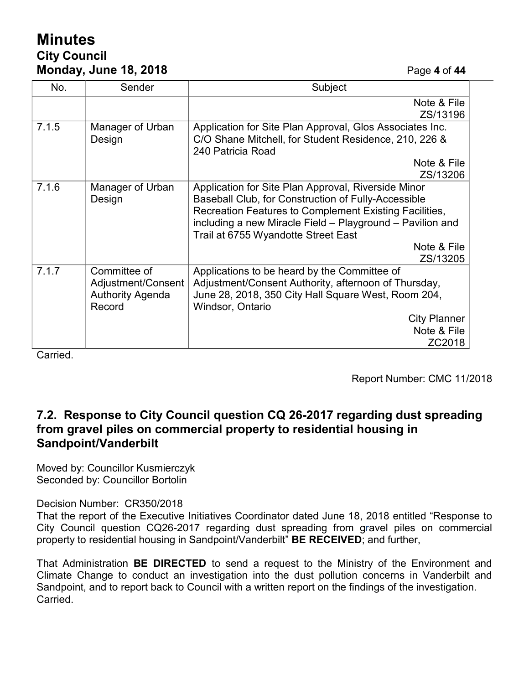# **Minutes City Council Monday, June 18, 2018** Page **4** of **44**

| No.   | Sender                  | Subject                                                   |
|-------|-------------------------|-----------------------------------------------------------|
|       |                         | Note & File                                               |
|       |                         | ZS/13196                                                  |
| 7.1.5 | Manager of Urban        | Application for Site Plan Approval, Glos Associates Inc.  |
|       | Design                  | C/O Shane Mitchell, for Student Residence, 210, 226 &     |
|       |                         | 240 Patricia Road                                         |
|       |                         | Note & File                                               |
|       |                         | ZS/13206                                                  |
| 7.1.6 | Manager of Urban        | Application for Site Plan Approval, Riverside Minor       |
|       | Design                  | Baseball Club, for Construction of Fully-Accessible       |
|       |                         | Recreation Features to Complement Existing Facilities,    |
|       |                         | including a new Miracle Field - Playground - Pavilion and |
|       |                         | Trail at 6755 Wyandotte Street East                       |
|       |                         | Note & File                                               |
|       |                         | ZS/13205                                                  |
| 7.1.7 | Committee of            | Applications to be heard by the Committee of              |
|       | Adjustment/Consent      | Adjustment/Consent Authority, afternoon of Thursday,      |
|       | <b>Authority Agenda</b> | June 28, 2018, 350 City Hall Square West, Room 204,       |
|       | Record                  | Windsor, Ontario                                          |
|       |                         | <b>City Planner</b>                                       |
|       |                         | Note & File                                               |
|       |                         | ZC2018                                                    |

Carried.

Report Number: CMC 11/2018

## **7.2. Response to City Council question CQ 26-2017 regarding dust spreading from gravel piles on commercial property to residential housing in Sandpoint/Vanderbilt**

Moved by: Councillor Kusmierczyk Seconded by: Councillor Bortolin

Decision Number: CR350/2018

That the report of the Executive Initiatives Coordinator dated June 18, 2018 entitled "Response to City Council question CQ26-2017 regarding dust spreading from gravel piles on commercial property to residential housing in Sandpoint/Vanderbilt" **BE RECEIVED**; and further,

That Administration **BE DIRECTED** to send a request to the Ministry of the Environment and Climate Change to conduct an investigation into the dust pollution concerns in Vanderbilt and Sandpoint, and to report back to Council with a written report on the findings of the investigation. Carried.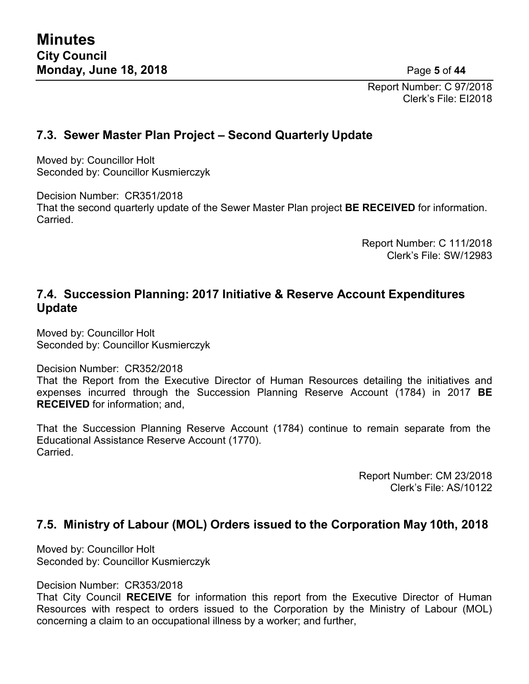Report Number: C 97/2018 Clerk's File: EI2018

## **7.3. Sewer Master Plan Project – Second Quarterly Update**

Moved by: Councillor Holt Seconded by: Councillor Kusmierczyk

Decision Number: CR351/2018

That the second quarterly update of the Sewer Master Plan project **BE RECEIVED** for information. Carried.

> Report Number: C 111/2018 Clerk's File: SW/12983

## **7.4. Succession Planning: 2017 Initiative & Reserve Account Expenditures Update**

Moved by: Councillor Holt Seconded by: Councillor Kusmierczyk

Decision Number: CR352/2018

That the Report from the Executive Director of Human Resources detailing the initiatives and expenses incurred through the Succession Planning Reserve Account (1784) in 2017 **BE RECEIVED** for information; and,

That the Succession Planning Reserve Account (1784) continue to remain separate from the Educational Assistance Reserve Account (1770). Carried.

> Report Number: CM 23/2018 Clerk's File: AS/10122

## **7.5. Ministry of Labour (MOL) Orders issued to the Corporation May 10th, 2018**

Moved by: Councillor Holt Seconded by: Councillor Kusmierczyk

Decision Number: CR353/2018

That City Council **RECEIVE** for information this report from the Executive Director of Human Resources with respect to orders issued to the Corporation by the Ministry of Labour (MOL) concerning a claim to an occupational illness by a worker; and further,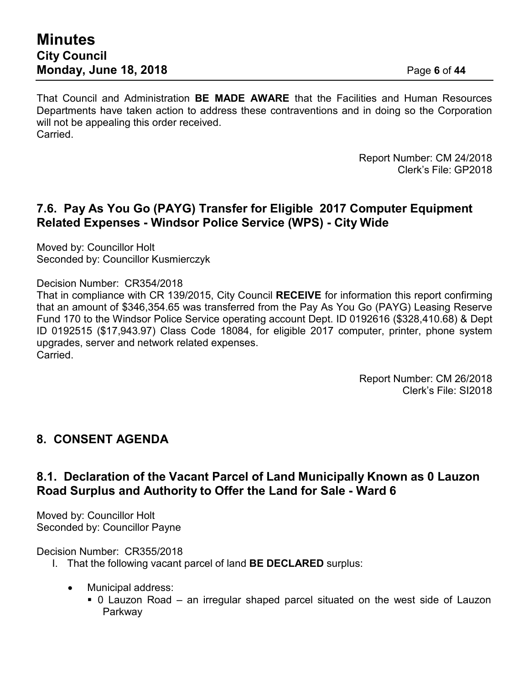That Council and Administration **BE MADE AWARE** that the Facilities and Human Resources Departments have taken action to address these contraventions and in doing so the Corporation will not be appealing this order received. Carried.

> Report Number: CM 24/2018 Clerk's File: GP2018

## **7.6. Pay As You Go (PAYG) Transfer for Eligible 2017 Computer Equipment Related Expenses - Windsor Police Service (WPS) - City Wide**

Moved by: Councillor Holt Seconded by: Councillor Kusmierczyk

Decision Number: CR354/2018

That in compliance with CR 139/2015, City Council **RECEIVE** for information this report confirming that an amount of \$346,354.65 was transferred from the Pay As You Go (PAYG) Leasing Reserve Fund 170 to the Windsor Police Service operating account Dept. ID 0192616 (\$328,410.68) & Dept ID 0192515 (\$17,943.97) Class Code 18084, for eligible 2017 computer, printer, phone system upgrades, server and network related expenses. **Carried** 

> Report Number: CM 26/2018 Clerk's File: SI2018

## **8. CONSENT AGENDA**

## **8.1. Declaration of the Vacant Parcel of Land Municipally Known as 0 Lauzon Road Surplus and Authority to Offer the Land for Sale - Ward 6**

Moved by: Councillor Holt Seconded by: Councillor Payne

#### Decision Number: CR355/2018

- I. That the following vacant parcel of land **BE DECLARED** surplus:
	- Municipal address:
		- 0 Lauzon Road an irregular shaped parcel situated on the west side of Lauzon Parkway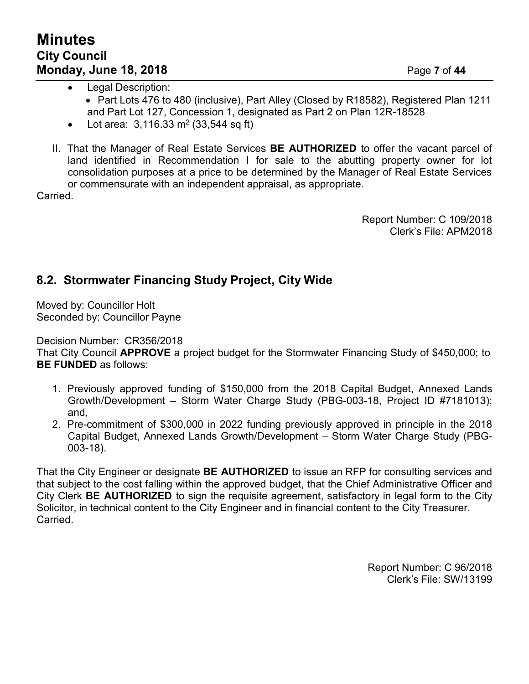- Legal Description:
	- Part Lots 476 to 480 (inclusive), Part Alley (Closed by R18582), Registered Plan 1211 and Part Lot 127, Concession 1, designated as Part 2 on Plan 12R-18528
- Lot area:  $3,116.33 \text{ m}^2 (33,544 \text{ sq ft})$
- II. That the Manager of Real Estate Services **BE AUTHORIZED** to offer the vacant parcel of land identified in Recommendation I for sale to the abutting property owner for lot consolidation purposes at a price to be determined by the Manager of Real Estate Services or commensurate with an independent appraisal, as appropriate.

Carried.

Report Number: C 109/2018 Clerk's File: APM2018

## **8.2. Stormwater Financing Study Project, City Wide**

Moved by: Councillor Holt Seconded by: Councillor Payne

Decision Number: CR356/2018 That City Council **APPROVE** a project budget for the Stormwater Financing Study of \$450,000; to **BE FUNDED** as follows:

- 1. Previously approved funding of \$150,000 from the 2018 Capital Budget, Annexed Lands Growth/Development – Storm Water Charge Study (PBG-003-18, Project ID #7181013); and,
- 2. Pre-commitment of \$300,000 in 2022 funding previously approved in principle in the 2018 Capital Budget, Annexed Lands Growth/Development – Storm Water Charge Study (PBG-003-18).

That the City Engineer or designate **BE AUTHORIZED** to issue an RFP for consulting services and that subject to the cost falling within the approved budget, that the Chief Administrative Officer and City Clerk **BE AUTHORIZED** to sign the requisite agreement, satisfactory in legal form to the City Solicitor, in technical content to the City Engineer and in financial content to the City Treasurer. Carried.

> Report Number: C 96/2018 Clerk's File: SW/13199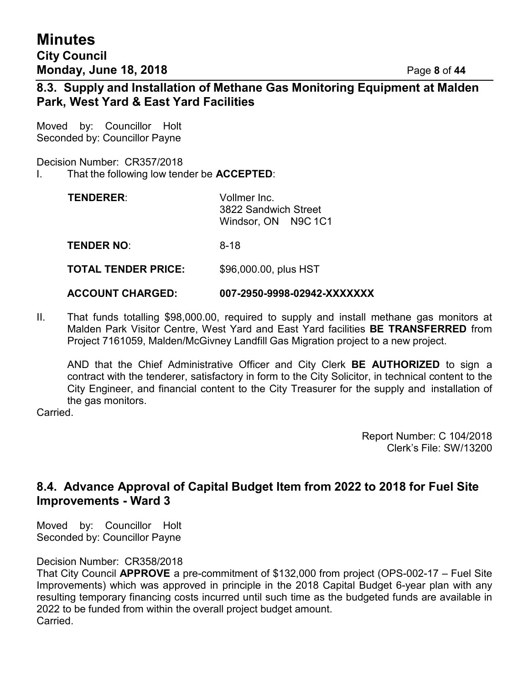# **Minutes City Council Monday, June 18, 2018** Page **8** of **44**

## **8.3. Supply and Installation of Methane Gas Monitoring Equipment at Malden Park, West Yard & East Yard Facilities**

Moved by: Councillor Holt Seconded by: Councillor Payne

Decision Number: CR357/2018

I. That the following low tender be **ACCEPTED**:

| <b>TENDERER:</b> | Vollmer Inc.<br>3822 Sandwich Street |  |  |
|------------------|--------------------------------------|--|--|
|                  | Windsor, ON N9C 1C1                  |  |  |
| FEURER UA        | <u>_</u>                             |  |  |

**TENDER NO**: 8-18

**TOTAL TENDER PRICE:** \$96,000.00, plus HST

#### **ACCOUNT CHARGED: 007-2950-9998-02942-XXXXXXX**

II. That funds totalling \$98,000.00, required to supply and install methane gas monitors at Malden Park Visitor Centre, West Yard and East Yard facilities **BE TRANSFERRED** from Project 7161059, Malden/McGivney Landfill Gas Migration project to a new project.

AND that the Chief Administrative Officer and City Clerk **BE AUTHORIZED** to sign a contract with the tenderer, satisfactory in form to the City Solicitor, in technical content to the City Engineer, and financial content to the City Treasurer for the supply and installation of the gas monitors.

Carried.

Report Number: C 104/2018 Clerk's File: SW/13200

## **8.4. Advance Approval of Capital Budget Item from 2022 to 2018 for Fuel Site Improvements - Ward 3**

Moved by: Councillor Holt Seconded by: Councillor Payne

#### Decision Number: CR358/2018

That City Council **APPROVE** a pre-commitment of \$132,000 from project (OPS-002-17 – Fuel Site Improvements) which was approved in principle in the 2018 Capital Budget 6-year plan with any resulting temporary financing costs incurred until such time as the budgeted funds are available in 2022 to be funded from within the overall project budget amount. Carried.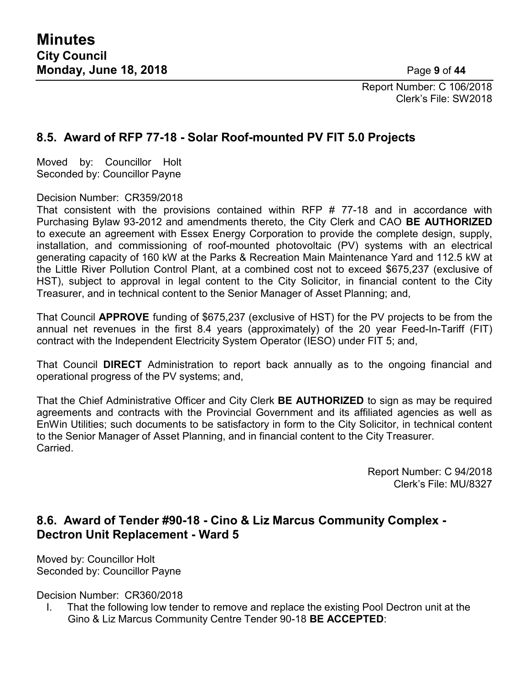Report Number: C 106/2018 Clerk's File: SW2018

## **8.5. Award of RFP 77-18 - Solar Roof-mounted PV FIT 5.0 Projects**

Moved by: Councillor Holt Seconded by: Councillor Payne

Decision Number: CR359/2018

That consistent with the provisions contained within RFP # 77-18 and in accordance with Purchasing Bylaw 93-2012 and amendments thereto, the City Clerk and CAO **BE AUTHORIZED** to execute an agreement with Essex Energy Corporation to provide the complete design, supply, installation, and commissioning of roof-mounted photovoltaic (PV) systems with an electrical generating capacity of 160 kW at the Parks & Recreation Main Maintenance Yard and 112.5 kW at the Little River Pollution Control Plant, at a combined cost not to exceed \$675,237 (exclusive of HST), subject to approval in legal content to the City Solicitor, in financial content to the City Treasurer, and in technical content to the Senior Manager of Asset Planning; and,

That Council **APPROVE** funding of \$675,237 (exclusive of HST) for the PV projects to be from the annual net revenues in the first 8.4 years (approximately) of the 20 year Feed-In-Tariff (FIT) contract with the Independent Electricity System Operator (IESO) under FIT 5; and,

That Council **DIRECT** Administration to report back annually as to the ongoing financial and operational progress of the PV systems; and,

That the Chief Administrative Officer and City Clerk **BE AUTHORIZED** to sign as may be required agreements and contracts with the Provincial Government and its affiliated agencies as well as EnWin Utilities; such documents to be satisfactory in form to the City Solicitor, in technical content to the Senior Manager of Asset Planning, and in financial content to the City Treasurer. **Carried** 

> Report Number: C 94/2018 Clerk's File: MU/8327

## **8.6. Award of Tender #90-18 - Cino & Liz Marcus Community Complex - Dectron Unit Replacement - Ward 5**

Moved by: Councillor Holt Seconded by: Councillor Payne

Decision Number: CR360/2018

I. That the following low tender to remove and replace the existing Pool Dectron unit at the Gino & Liz Marcus Community Centre Tender 90-18 **BE ACCEPTED**: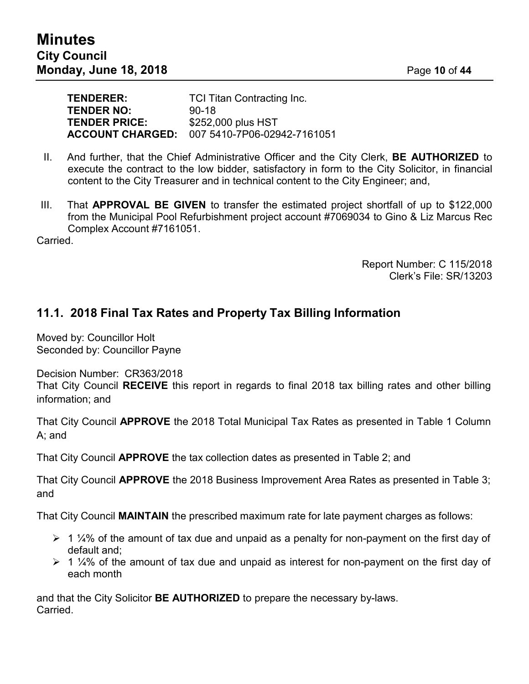| <b>TENDERER:</b>     | <b>TCI Titan Contracting Inc.</b>                   |
|----------------------|-----------------------------------------------------|
| <b>TENDER NO:</b>    | $90-18$                                             |
| <b>TENDER PRICE:</b> | \$252,000 plus HST                                  |
|                      | <b>ACCOUNT CHARGED: 007 5410-7P06-02942-7161051</b> |

- II. And further, that the Chief Administrative Officer and the City Clerk, **BE AUTHORIZED** to execute the contract to the low bidder, satisfactory in form to the City Solicitor, in financial content to the City Treasurer and in technical content to the City Engineer; and,
- III. That **APPROVAL BE GIVEN** to transfer the estimated project shortfall of up to \$122,000 from the Municipal Pool Refurbishment project account #7069034 to Gino & Liz Marcus Rec Complex Account #7161051.

Carried.

Report Number: C 115/2018 Clerk's File: SR/13203

## **11.1. 2018 Final Tax Rates and Property Tax Billing Information**

Moved by: Councillor Holt Seconded by: Councillor Payne

Decision Number: CR363/2018

That City Council **RECEIVE** this report in regards to final 2018 tax billing rates and other billing information; and

That City Council **APPROVE** the 2018 Total Municipal Tax Rates as presented in Table 1 Column A; and

That City Council **APPROVE** the tax collection dates as presented in Table 2; and

That City Council **APPROVE** the 2018 Business Improvement Area Rates as presented in Table 3; and

That City Council **MAINTAIN** the prescribed maximum rate for late payment charges as follows:

- $\geq 1$  ¼% of the amount of tax due and unpaid as a penalty for non-payment on the first day of default and;
- $\geq 1$  ¼% of the amount of tax due and unpaid as interest for non-payment on the first day of each month

and that the City Solicitor **BE AUTHORIZED** to prepare the necessary by-laws. Carried.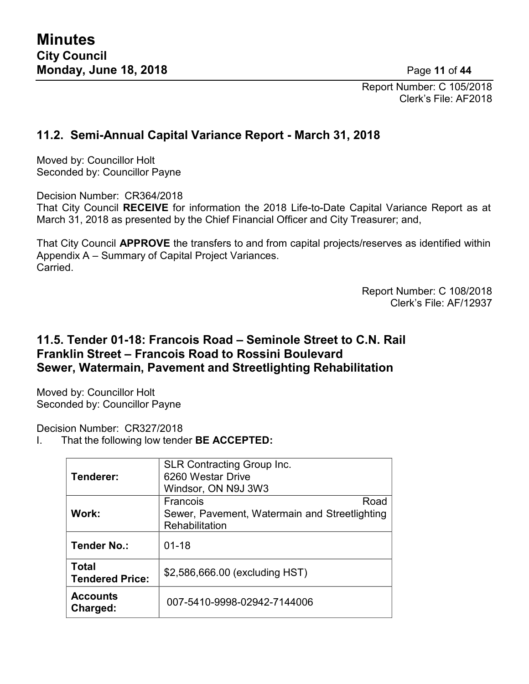Report Number: C 105/2018 Clerk's File: AF2018

## **11.2. Semi-Annual Capital Variance Report - March 31, 2018**

Moved by: Councillor Holt Seconded by: Councillor Payne

Decision Number: CR364/2018 That City Council **RECEIVE** for information the 2018 Life-to-Date Capital Variance Report as at March 31, 2018 as presented by the Chief Financial Officer and City Treasurer; and,

That City Council **APPROVE** the transfers to and from capital projects/reserves as identified within Appendix A – Summary of Capital Project Variances. Carried.

> Report Number: C 108/2018 Clerk's File: AF/12937

## **11.5. Tender 01-18: Francois Road – Seminole Street to C.N. Rail Franklin Street – Francois Road to Rossini Boulevard Sewer, Watermain, Pavement and Streetlighting Rehabilitation**

Moved by: Councillor Holt Seconded by: Councillor Payne

Decision Number: CR327/2018

I. That the following low tender **BE ACCEPTED:**

| Tenderer:                              | <b>SLR Contracting Group Inc.</b><br>6260 Westar Drive<br>Windsor, ON N9J 3W3       |
|----------------------------------------|-------------------------------------------------------------------------------------|
| Work:                                  | Francois<br>Road<br>Sewer, Pavement, Watermain and Streetlighting<br>Rehabilitation |
| <b>Tender No.:</b>                     | $01 - 18$                                                                           |
| <b>Total</b><br><b>Tendered Price:</b> | \$2,586,666.00 (excluding HST)                                                      |
| <b>Accounts</b><br>Charged:            | 007-5410-9998-02942-7144006                                                         |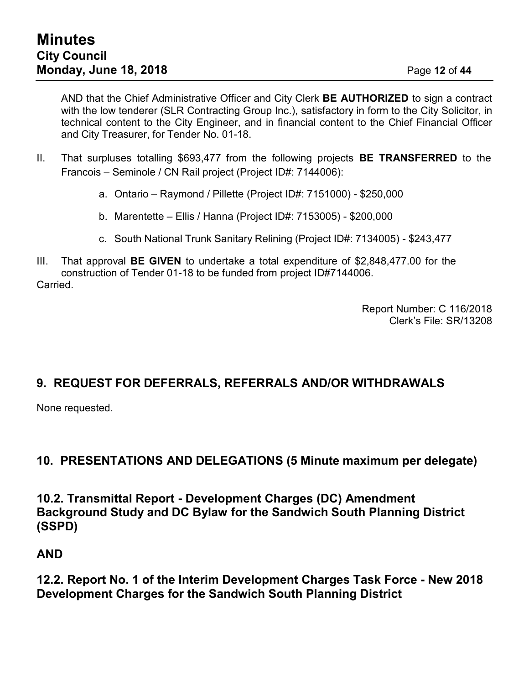AND that the Chief Administrative Officer and City Clerk **BE AUTHORIZED** to sign a contract with the low tenderer (SLR Contracting Group Inc.), satisfactory in form to the City Solicitor, in technical content to the City Engineer, and in financial content to the Chief Financial Officer and City Treasurer, for Tender No. 01-18.

- II. That surpluses totalling \$693,477 from the following projects **BE TRANSFERRED** to the Francois – Seminole / CN Rail project (Project ID#: 7144006):
	- a. Ontario Raymond / Pillette (Project ID#: 7151000) \$250,000
	- b. Marentette Ellis / Hanna (Project ID#: 7153005) \$200,000
	- c. South National Trunk Sanitary Relining (Project ID#: 7134005) \$243,477
- III. That approval **BE GIVEN** to undertake a total expenditure of \$2,848,477.00 for the construction of Tender 01-18 to be funded from project ID#7144006. Carried.

Report Number: C 116/2018 Clerk's File: SR/13208

## **9. REQUEST FOR DEFERRALS, REFERRALS AND/OR WITHDRAWALS**

None requested.

## **10. PRESENTATIONS AND DELEGATIONS (5 Minute maximum per delegate)**

**10.2. Transmittal Report - Development Charges (DC) Amendment Background Study and DC Bylaw for the Sandwich South Planning District (SSPD)**

## **AND**

**12.2. Report No. 1 of the Interim Development Charges Task Force - New 2018 Development Charges for the Sandwich South Planning District**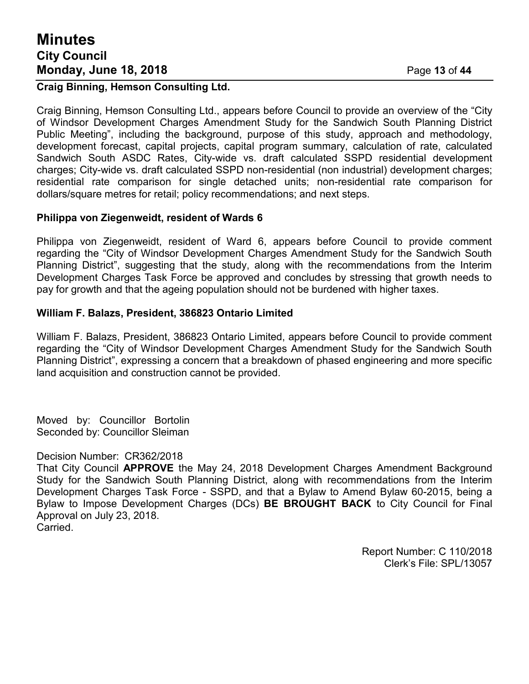# **Minutes City Council Monday, June 18, 2018** Page **13** of **44**

#### **Craig Binning, Hemson Consulting Ltd.**

Craig Binning, Hemson Consulting Ltd., appears before Council to provide an overview of the "City of Windsor Development Charges Amendment Study for the Sandwich South Planning District Public Meeting", including the background, purpose of this study, approach and methodology, development forecast, capital projects, capital program summary, calculation of rate, calculated Sandwich South ASDC Rates, City-wide vs. draft calculated SSPD residential development charges; City-wide vs. draft calculated SSPD non-residential (non industrial) development charges; residential rate comparison for single detached units; non-residential rate comparison for dollars/square metres for retail; policy recommendations; and next steps.

#### **Philippa von Ziegenweidt, resident of Wards 6**

Philippa von Ziegenweidt, resident of Ward 6, appears before Council to provide comment regarding the "City of Windsor Development Charges Amendment Study for the Sandwich South Planning District", suggesting that the study, along with the recommendations from the Interim Development Charges Task Force be approved and concludes by stressing that growth needs to pay for growth and that the ageing population should not be burdened with higher taxes.

#### **William F. Balazs, President, 386823 Ontario Limited**

William F. Balazs, President, 386823 Ontario Limited, appears before Council to provide comment regarding the "City of Windsor Development Charges Amendment Study for the Sandwich South Planning District", expressing a concern that a breakdown of phased engineering and more specific land acquisition and construction cannot be provided.

Moved by: Councillor Bortolin Seconded by: Councillor Sleiman

#### Decision Number: CR362/2018

That City Council **APPROVE** the May 24, 2018 Development Charges Amendment Background Study for the Sandwich South Planning District, along with recommendations from the Interim Development Charges Task Force - SSPD, and that a Bylaw to Amend Bylaw 60-2015, being a Bylaw to Impose Development Charges (DCs) **BE BROUGHT BACK** to City Council for Final Approval on July 23, 2018. Carried.

> Report Number: C 110/2018 Clerk's File: SPL/13057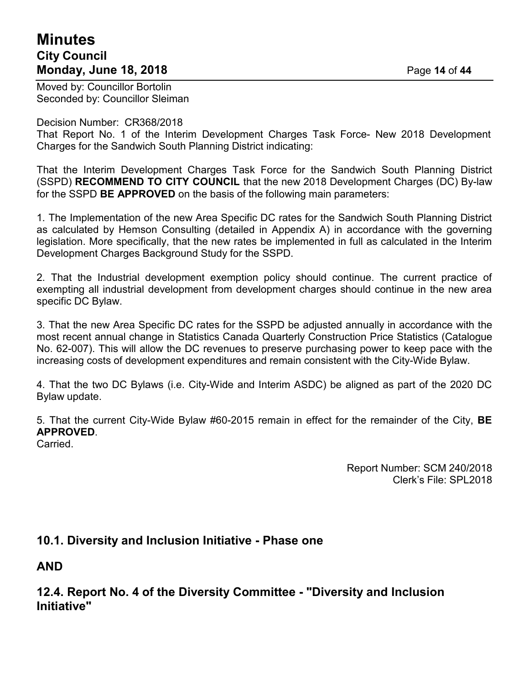# **Minutes City Council Monday, June 18, 2018** Page **14** of **44**

Moved by: Councillor Bortolin Seconded by: Councillor Sleiman

#### Decision Number: CR368/2018

That Report No. 1 of the Interim Development Charges Task Force- New 2018 Development Charges for the Sandwich South Planning District indicating:

That the Interim Development Charges Task Force for the Sandwich South Planning District (SSPD) **RECOMMEND TO CITY COUNCIL** that the new 2018 Development Charges (DC) By-law for the SSPD **BE APPROVED** on the basis of the following main parameters:

1. The Implementation of the new Area Specific DC rates for the Sandwich South Planning District as calculated by Hemson Consulting (detailed in Appendix A) in accordance with the governing legislation. More specifically, that the new rates be implemented in full as calculated in the Interim Development Charges Background Study for the SSPD.

2. That the Industrial development exemption policy should continue. The current practice of exempting all industrial development from development charges should continue in the new area specific DC Bylaw.

3. That the new Area Specific DC rates for the SSPD be adjusted annually in accordance with the most recent annual change in Statistics Canada Quarterly Construction Price Statistics (Catalogue No. 62-007). This will allow the DC revenues to preserve purchasing power to keep pace with the increasing costs of development expenditures and remain consistent with the City-Wide Bylaw.

4. That the two DC Bylaws (i.e. City-Wide and Interim ASDC) be aligned as part of the 2020 DC Bylaw update.

5. That the current City-Wide Bylaw #60-2015 remain in effect for the remainder of the City, **BE APPROVED**.

**Carried** 

Report Number: SCM 240/2018 Clerk's File: SPL2018

## **10.1. Diversity and Inclusion Initiative - Phase one**

**AND**

**12.4. Report No. 4 of the Diversity Committee - "Diversity and Inclusion Initiative"**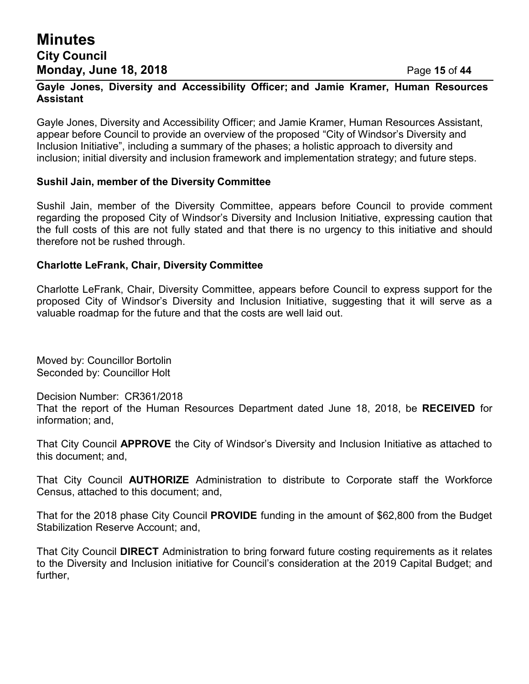## **Minutes City Council Monday, June 18, 2018** Page **15** of **44**

#### **Gayle Jones, Diversity and Accessibility Officer; and Jamie Kramer, Human Resources Assistant**

Gayle Jones, Diversity and Accessibility Officer; and Jamie Kramer, Human Resources Assistant, appear before Council to provide an overview of the proposed "City of Windsor's Diversity and Inclusion Initiative", including a summary of the phases; a holistic approach to diversity and inclusion; initial diversity and inclusion framework and implementation strategy; and future steps.

#### **Sushil Jain, member of the Diversity Committee**

Sushil Jain, member of the Diversity Committee, appears before Council to provide comment regarding the proposed City of Windsor's Diversity and Inclusion Initiative, expressing caution that the full costs of this are not fully stated and that there is no urgency to this initiative and should therefore not be rushed through.

#### **Charlotte LeFrank, Chair, Diversity Committee**

Charlotte LeFrank, Chair, Diversity Committee, appears before Council to express support for the proposed City of Windsor's Diversity and Inclusion Initiative, suggesting that it will serve as a valuable roadmap for the future and that the costs are well laid out.

Moved by: Councillor Bortolin Seconded by: Councillor Holt

Decision Number: CR361/2018

That the report of the Human Resources Department dated June 18, 2018, be **RECEIVED** for information; and,

That City Council **APPROVE** the City of Windsor's Diversity and Inclusion Initiative as attached to this document; and,

That City Council **AUTHORIZE** Administration to distribute to Corporate staff the Workforce Census, attached to this document; and,

That for the 2018 phase City Council **PROVIDE** funding in the amount of \$62,800 from the Budget Stabilization Reserve Account; and,

That City Council **DIRECT** Administration to bring forward future costing requirements as it relates to the Diversity and Inclusion initiative for Council's consideration at the 2019 Capital Budget; and further,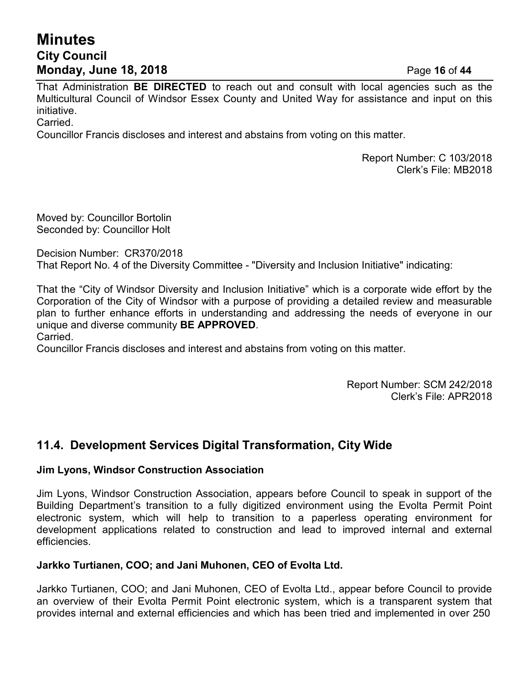# **Minutes City Council Monday, June 18, 2018** Page **16** of **44**

That Administration **BE DIRECTED** to reach out and consult with local agencies such as the Multicultural Council of Windsor Essex County and United Way for assistance and input on this initiative.

Carried.

Councillor Francis discloses and interest and abstains from voting on this matter.

Report Number: C 103/2018 Clerk's File: MB2018

Moved by: Councillor Bortolin Seconded by: Councillor Holt

Decision Number: CR370/2018 That Report No. 4 of the Diversity Committee - "Diversity and Inclusion Initiative" indicating:

That the "City of Windsor Diversity and Inclusion Initiative" which is a corporate wide effort by the Corporation of the City of Windsor with a purpose of providing a detailed review and measurable plan to further enhance efforts in understanding and addressing the needs of everyone in our unique and diverse community **BE APPROVED**.

Carried.

Councillor Francis discloses and interest and abstains from voting on this matter.

Report Number: SCM 242/2018 Clerk's File: APR2018

## **11.4. Development Services Digital Transformation, City Wide**

## **Jim Lyons, Windsor Construction Association**

Jim Lyons, Windsor Construction Association, appears before Council to speak in support of the Building Department's transition to a fully digitized environment using the Evolta Permit Point electronic system, which will help to transition to a paperless operating environment for development applications related to construction and lead to improved internal and external efficiencies.

#### **Jarkko Turtianen, COO; and Jani Muhonen, CEO of Evolta Ltd.**

Jarkko Turtianen, COO; and Jani Muhonen, CEO of Evolta Ltd., appear before Council to provide an overview of their Evolta Permit Point electronic system, which is a transparent system that provides internal and external efficiencies and which has been tried and implemented in over 250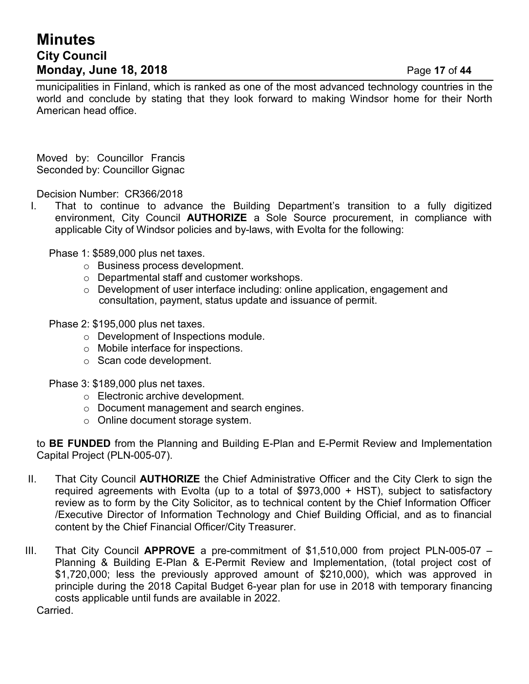# **Minutes City Council Monday, June 18, 2018** Page **17** of **44**

municipalities in Finland, which is ranked as one of the most advanced technology countries in the world and conclude by stating that they look forward to making Windsor home for their North American head office.

Moved by: Councillor Francis Seconded by: Councillor Gignac

Decision Number: CR366/2018

I. That to continue to advance the Building Department's transition to a fully digitized environment, City Council **AUTHORIZE** a Sole Source procurement, in compliance with applicable City of Windsor policies and by-laws, with Evolta for the following:

Phase 1: \$589,000 plus net taxes.

- o Business process development.
- o Departmental staff and customer workshops.
- $\circ$  Development of user interface including: online application, engagement and consultation, payment, status update and issuance of permit.

Phase 2: \$195,000 plus net taxes.

- o Development of Inspections module.
- o Mobile interface for inspections.
- o Scan code development.

Phase 3: \$189,000 plus net taxes.

- o Electronic archive development.
- o Document management and search engines.
- o Online document storage system.

to **BE FUNDED** from the Planning and Building E-Plan and E-Permit Review and Implementation Capital Project (PLN-005-07).

- II. That City Council **AUTHORIZE** the Chief Administrative Officer and the City Clerk to sign the required agreements with Evolta (up to a total of \$973,000 + HST), subject to satisfactory review as to form by the City Solicitor, as to technical content by the Chief Information Officer /Executive Director of Information Technology and Chief Building Official, and as to financial content by the Chief Financial Officer/City Treasurer.
- III. That City Council **APPROVE** a pre-commitment of \$1,510,000 from project PLN-005-07 Planning & Building E-Plan & E-Permit Review and Implementation, (total project cost of \$1,720,000; less the previously approved amount of \$210,000), which was approved in principle during the 2018 Capital Budget 6-year plan for use in 2018 with temporary financing costs applicable until funds are available in 2022.

Carried.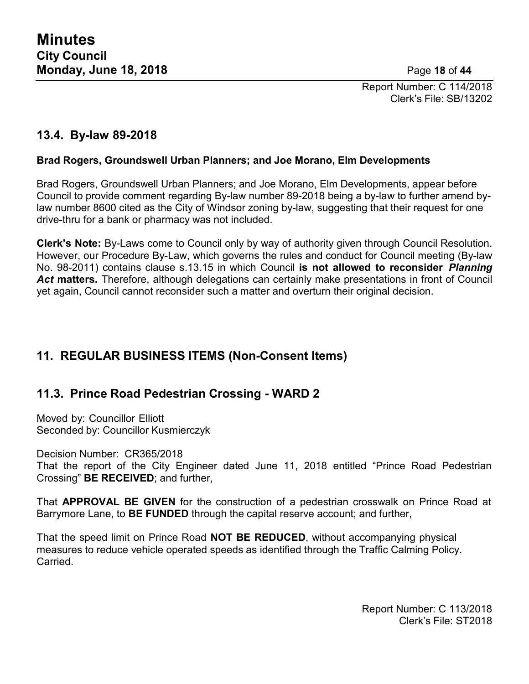Report Number: C 114/2018 Clerk's File: SB/13202

## **13.4. By-law 89-2018**

### **Brad Rogers, Groundswell Urban Planners; and Joe Morano, Elm Developments**

Brad Rogers, Groundswell Urban Planners; and Joe Morano, Elm Developments, appear before Council to provide comment regarding By-law number 89-2018 being a by-law to further amend bylaw number 8600 cited as the City of Windsor zoning by-law, suggesting that their request for one drive-thru for a bank or pharmacy was not included.

**Clerk's Note:** By-Laws come to Council only by way of authority given through Council Resolution. However, our Procedure By-Law, which governs the rules and conduct for Council meeting (By-law No. 98-2011) contains clause s.13.15 in which Council **is not allowed to reconsider** *Planning* Act matters. Therefore, although delegations can certainly make presentations in front of Council yet again, Council cannot reconsider such a matter and overturn their original decision.

## **11. REGULAR BUSINESS ITEMS (Non-Consent Items)**

## **11.3. Prince Road Pedestrian Crossing - WARD 2**

Moved by: Councillor Elliott Seconded by: Councillor Kusmierczyk

Decision Number: CR365/2018 That the report of the City Engineer dated June 11, 2018 entitled "Prince Road Pedestrian Crossing" **BE RECEIVED**; and further,

That **APPROVAL BE GIVEN** for the construction of a pedestrian crosswalk on Prince Road at Barrymore Lane, to **BE FUNDED** through the capital reserve account; and further,

That the speed limit on Prince Road **NOT BE REDUCED**, without accompanying physical measures to reduce vehicle operated speeds as identified through the Traffic Calming Policy. **Carried** 

> Report Number: C 113/2018 Clerk's File: ST2018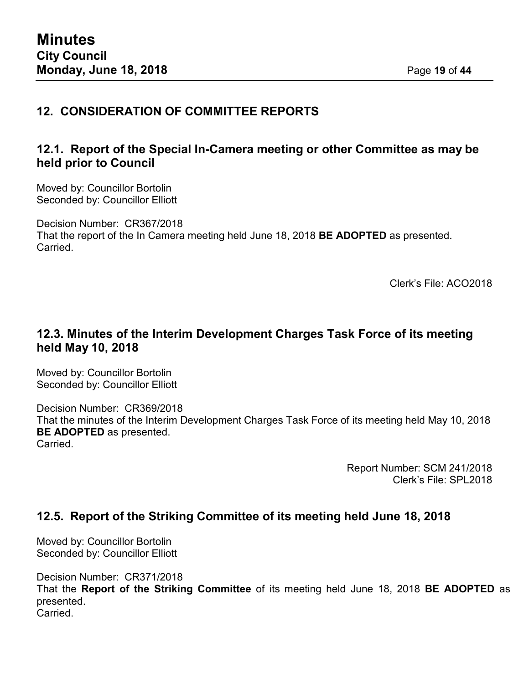# **12. CONSIDERATION OF COMMITTEE REPORTS**

## **12.1. Report of the Special In-Camera meeting or other Committee as may be held prior to Council**

Moved by: Councillor Bortolin Seconded by: Councillor Elliott

Decision Number: CR367/2018 That the report of the In Camera meeting held June 18, 2018 **BE ADOPTED** as presented. Carried.

Clerk's File: ACO2018

## **12.3. Minutes of the Interim Development Charges Task Force of its meeting held May 10, 2018**

Moved by: Councillor Bortolin Seconded by: Councillor Elliott

Decision Number: CR369/2018 That the minutes of the Interim Development Charges Task Force of its meeting held May 10, 2018 **BE ADOPTED** as presented. **Carried** 

> Report Number: SCM 241/2018 Clerk's File: SPL2018

## **12.5. Report of the Striking Committee of its meeting held June 18, 2018**

Moved by: Councillor Bortolin Seconded by: Councillor Elliott

Decision Number: CR371/2018 That the **Report of the Striking Committee** of its meeting held June 18, 2018 **BE ADOPTED** as presented. Carried.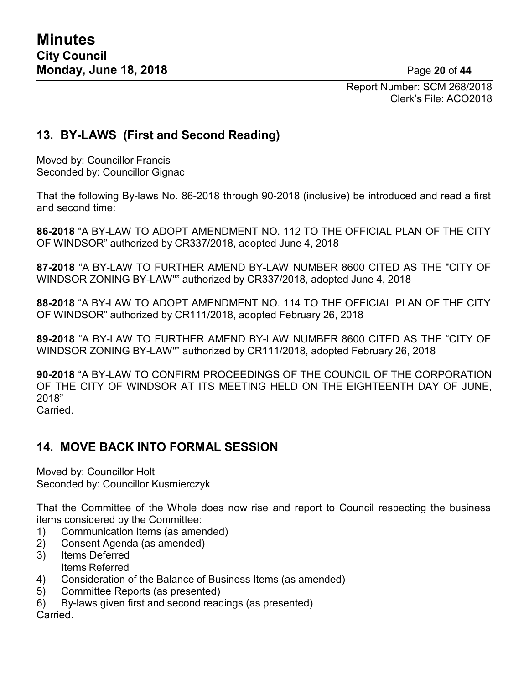Report Number: SCM 268/2018 Clerk's File: ACO2018

## **13. BY-LAWS (First and Second Reading)**

Moved by: Councillor Francis Seconded by: Councillor Gignac

That the following By-laws No. 86-2018 through 90-2018 (inclusive) be introduced and read a first and second time:

**86-2018** "A BY-LAW TO ADOPT AMENDMENT NO. 112 TO THE OFFICIAL PLAN OF THE CITY OF WINDSOR" authorized by CR337/2018, adopted June 4, 2018

**87-2018** "A BY-LAW TO FURTHER AMEND BY-LAW NUMBER 8600 CITED AS THE "CITY OF WINDSOR ZONING BY-LAW"" authorized by CR337/2018, adopted June 4, 2018

**88-2018** "A BY-LAW TO ADOPT AMENDMENT NO. 114 TO THE OFFICIAL PLAN OF THE CITY OF WINDSOR" authorized by CR111/2018, adopted February 26, 2018

**89-2018** "A BY-LAW TO FURTHER AMEND BY-LAW NUMBER 8600 CITED AS THE "CITY OF WINDSOR ZONING BY-LAW"" authorized by CR111/2018, adopted February 26, 2018

**90-2018** "A BY-LAW TO CONFIRM PROCEEDINGS OF THE COUNCIL OF THE CORPORATION OF THE CITY OF WINDSOR AT ITS MEETING HELD ON THE EIGHTEENTH DAY OF JUNE, 2018" Carried.

## **14. MOVE BACK INTO FORMAL SESSION**

Moved by: Councillor Holt Seconded by: Councillor Kusmierczyk

That the Committee of the Whole does now rise and report to Council respecting the business items considered by the Committee:

- 1) Communication Items (as amended)
- 2) Consent Agenda (as amended)
- 3) Items Deferred Items Referred
- 4) Consideration of the Balance of Business Items (as amended)
- 5) Committee Reports (as presented)
- 6) By-laws given first and second readings (as presented) Carried.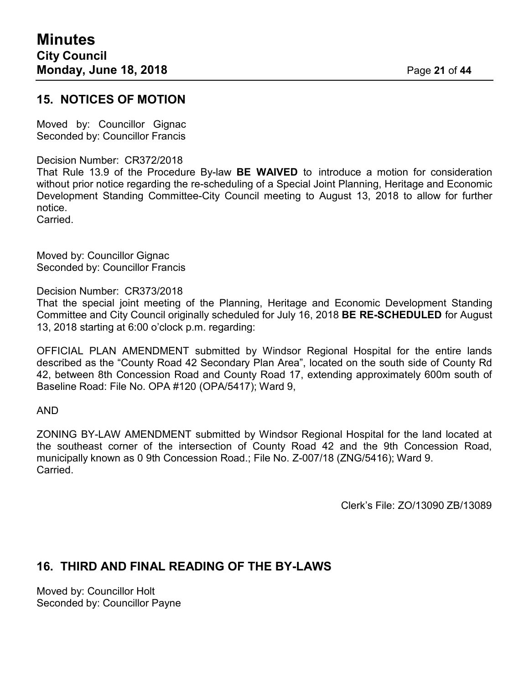## **15. NOTICES OF MOTION**

Moved by: Councillor Gignac Seconded by: Councillor Francis

#### Decision Number: CR372/2018

That Rule 13.9 of the Procedure By-law **BE WAIVED** to introduce a motion for consideration without prior notice regarding the re-scheduling of a Special Joint Planning, Heritage and Economic Development Standing Committee-City Council meeting to August 13, 2018 to allow for further notice.

Carried.

Moved by: Councillor Gignac Seconded by: Councillor Francis

Decision Number: CR373/2018

That the special joint meeting of the Planning, Heritage and Economic Development Standing Committee and City Council originally scheduled for July 16, 2018 **BE RE-SCHEDULED** for August 13, 2018 starting at 6:00 o'clock p.m. regarding:

OFFICIAL PLAN AMENDMENT submitted by Windsor Regional Hospital for the entire lands described as the "County Road 42 Secondary Plan Area", located on the south side of County Rd 42, between 8th Concession Road and County Road 17, extending approximately 600m south of Baseline Road: File No. OPA #120 (OPA/5417); Ward 9,

AND

ZONING BY-LAW AMENDMENT submitted by Windsor Regional Hospital for the land located at the southeast corner of the intersection of County Road 42 and the 9th Concession Road, municipally known as 0 9th Concession Road.; File No. Z-007/18 (ZNG/5416); Ward 9. **Carried** 

Clerk's File: ZO/13090 ZB/13089

## **16. THIRD AND FINAL READING OF THE BY-LAWS**

Moved by: Councillor Holt Seconded by: Councillor Payne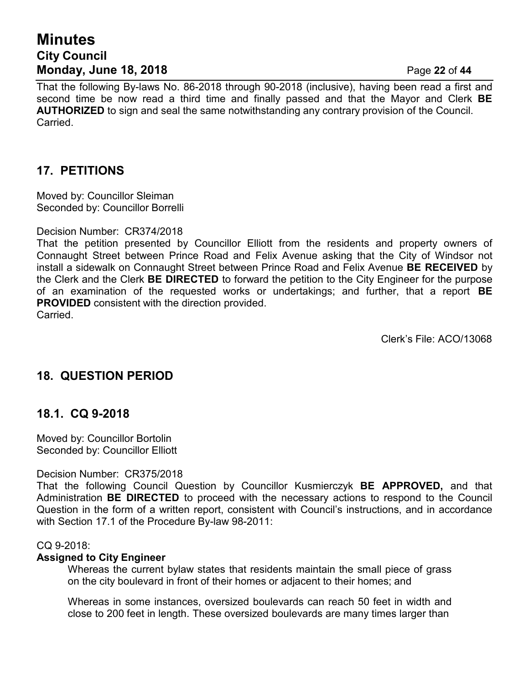# **Minutes City Council Monday, June 18, 2018** Page **22** of **44**

That the following By-laws No. 86-2018 through 90-2018 (inclusive), having been read a first and second time be now read a third time and finally passed and that the Mayor and Clerk **BE AUTHORIZED** to sign and seal the same notwithstanding any contrary provision of the Council. Carried.

## **17. PETITIONS**

Moved by: Councillor Sleiman Seconded by: Councillor Borrelli

#### Decision Number: CR374/2018

That the petition presented by Councillor Elliott from the residents and property owners of Connaught Street between Prince Road and Felix Avenue asking that the City of Windsor not install a sidewalk on Connaught Street between Prince Road and Felix Avenue **BE RECEIVED** by the Clerk and the Clerk **BE DIRECTED** to forward the petition to the City Engineer for the purpose of an examination of the requested works or undertakings; and further, that a report **BE PROVIDED** consistent with the direction provided. Carried.

Clerk's File: ACO/13068

## **18. QUESTION PERIOD**

## **18.1. CQ 9-2018**

Moved by: Councillor Bortolin Seconded by: Councillor Elliott

#### Decision Number: CR375/2018

That the following Council Question by Councillor Kusmierczyk **BE APPROVED,** and that Administration **BE DIRECTED** to proceed with the necessary actions to respond to the Council Question in the form of a written report, consistent with Council's instructions, and in accordance with Section 17.1 of the Procedure By-law 98-2011:

#### CQ 9-2018:

#### **Assigned to City Engineer**

Whereas the current bylaw states that residents maintain the small piece of grass on the city boulevard in front of their homes or adjacent to their homes; and

Whereas in some instances, oversized boulevards can reach 50 feet in width and close to 200 feet in length. These oversized boulevards are many times larger than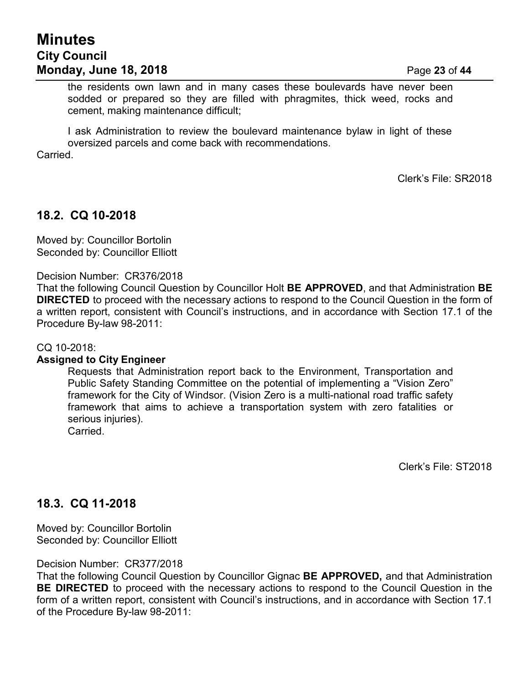the residents own lawn and in many cases these boulevards have never been sodded or prepared so they are filled with phragmites, thick weed, rocks and cement, making maintenance difficult;

I ask Administration to review the boulevard maintenance bylaw in light of these oversized parcels and come back with recommendations.

Carried.

Clerk's File: SR2018

## **18.2. CQ 10-2018**

Moved by: Councillor Bortolin Seconded by: Councillor Elliott

Decision Number: CR376/2018

That the following Council Question by Councillor Holt **BE APPROVED**, and that Administration **BE DIRECTED** to proceed with the necessary actions to respond to the Council Question in the form of a written report, consistent with Council's instructions, and in accordance with Section 17.1 of the Procedure By-law 98-2011:

CQ 10-2018:

#### **Assigned to City Engineer**

Requests that Administration report back to the Environment, Transportation and Public Safety Standing Committee on the potential of implementing a "Vision Zero" framework for the City of Windsor. (Vision Zero is a multi-national road traffic safety framework that aims to achieve a transportation system with zero fatalities or serious injuries). Carried.

Clerk's File: ST2018

## **18.3. CQ 11-2018**

Moved by: Councillor Bortolin Seconded by: Councillor Elliott

Decision Number: CR377/2018

That the following Council Question by Councillor Gignac **BE APPROVED,** and that Administration **BE DIRECTED** to proceed with the necessary actions to respond to the Council Question in the form of a written report, consistent with Council's instructions, and in accordance with Section 17.1 of the Procedure By-law 98-2011: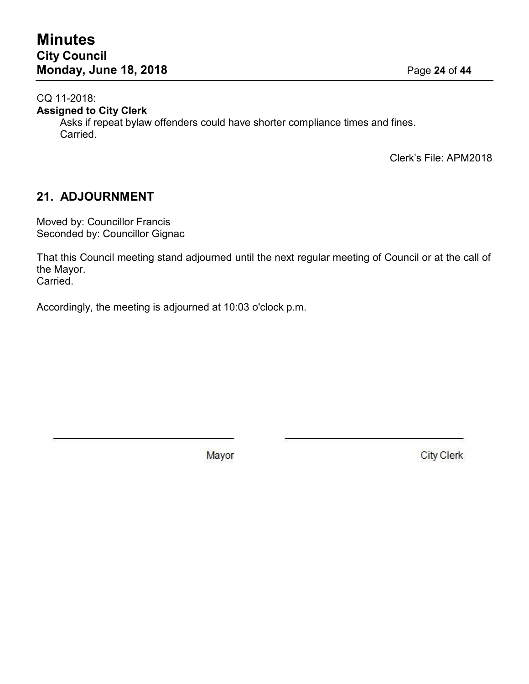CQ 11-2018:

**Assigned to City Clerk**

Asks if repeat bylaw offenders could have shorter compliance times and fines. Carried.

Clerk's File: APM2018

## **21. ADJOURNMENT**

Moved by: Councillor Francis Seconded by: Councillor Gignac

That this Council meeting stand adjourned until the next regular meeting of Council or at the call of the Mayor. Carried.

Accordingly, the meeting is adjourned at 10:03 o'clock p.m.

Mayor

**City Clerk**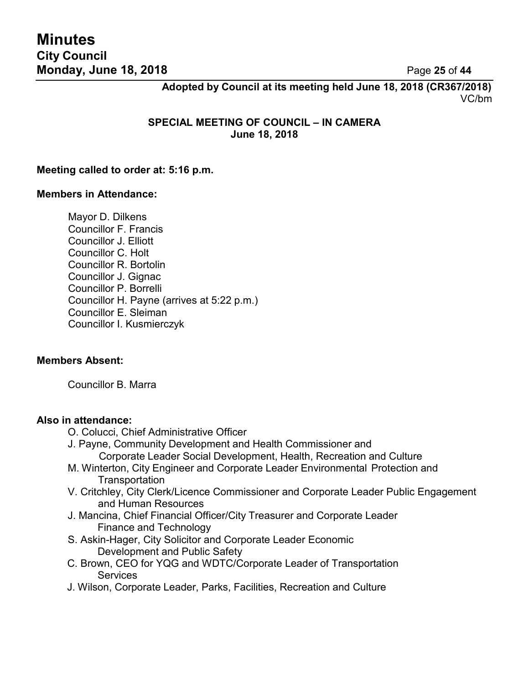**Adopted by Council at its meeting held June 18, 2018 (CR367/2018)** VC/bm

**SPECIAL MEETING OF COUNCIL – IN CAMERA June 18, 2018**

#### **Meeting called to order at: 5:16 p.m.**

#### **Members in Attendance:**

Mayor D. Dilkens Councillor F. Francis Councillor J. Elliott Councillor C. Holt Councillor R. Bortolin Councillor J. Gignac Councillor P. Borrelli Councillor H. Payne (arrives at 5:22 p.m.) Councillor E. Sleiman Councillor I. Kusmierczyk

#### **Members Absent:**

Councillor B. Marra

#### **Also in attendance:**

- O. Colucci, Chief Administrative Officer
- J. Payne, Community Development and Health Commissioner and Corporate Leader Social Development, Health, Recreation and Culture
- M. Winterton, City Engineer and Corporate Leader Environmental Protection and **Transportation**
- V. Critchley, City Clerk/Licence Commissioner and Corporate Leader Public Engagement and Human Resources
- J. Mancina, Chief Financial Officer/City Treasurer and Corporate Leader Finance and Technology
- S. Askin-Hager, City Solicitor and Corporate Leader Economic Development and Public Safety
- C. Brown, CEO for YQG and WDTC/Corporate Leader of Transportation **Services**
- J. Wilson, Corporate Leader, Parks, Facilities, Recreation and Culture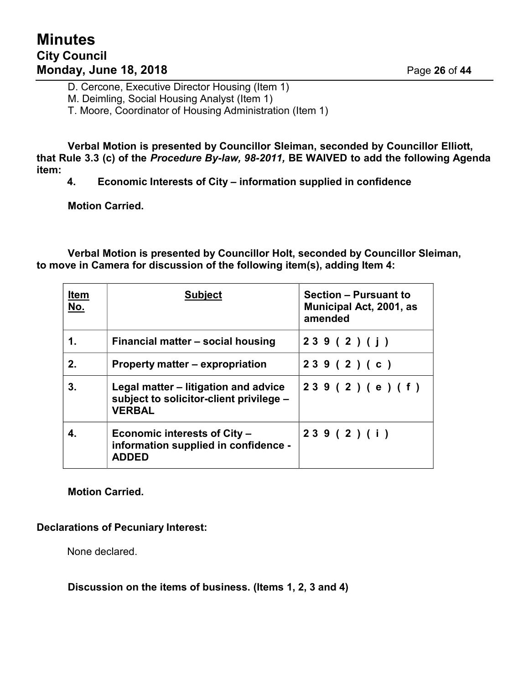D. Cercone, Executive Director Housing (Item 1)

M. Deimling, Social Housing Analyst (Item 1)

T. Moore, Coordinator of Housing Administration (Item 1)

**Verbal Motion is presented by Councillor Sleiman, seconded by Councillor Elliott, that Rule 3.3 (c) of the** *Procedure By-law, 98-2011,* **BE WAIVED to add the following Agenda item:**

**4. Economic Interests of City – information supplied in confidence**

**Motion Carried.**

**Verbal Motion is presented by Councillor Holt, seconded by Councillor Sleiman, to move in Camera for discussion of the following item(s), adding Item 4:**

| <b>Item</b><br>No. | <b>Subject</b>                                                                                   | <b>Section - Pursuant to</b><br><b>Municipal Act, 2001, as</b><br>amended |
|--------------------|--------------------------------------------------------------------------------------------------|---------------------------------------------------------------------------|
| 1.                 | Financial matter – social housing                                                                | 239(2)(j)                                                                 |
| 2.                 | Property matter – expropriation                                                                  | 239(2)(c)                                                                 |
| 3.                 | Legal matter – litigation and advice<br>subject to solicitor-client privilege -<br><b>VERBAL</b> | 239 (2) (e) (f)                                                           |
|                    | Economic interests of City –<br>information supplied in confidence -<br><b>ADDED</b>             | 239(2)(i)                                                                 |

#### **Motion Carried.**

#### **Declarations of Pecuniary Interest:**

None declared.

**Discussion on the items of business. (Items 1, 2, 3 and 4)**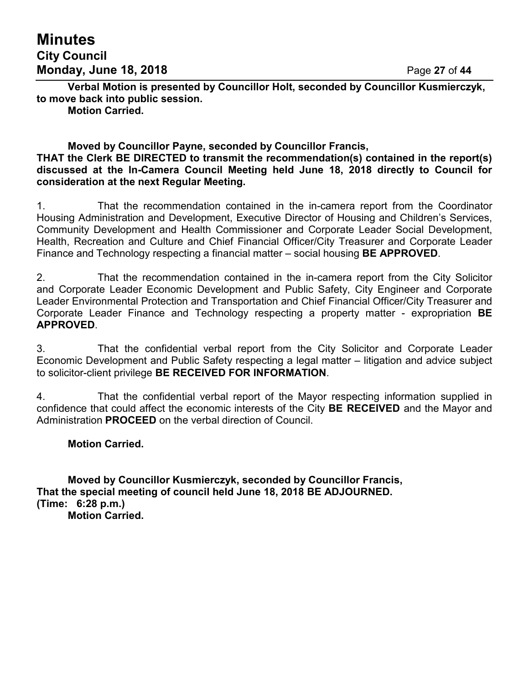# **Minutes City Council Monday, June 18, 2018** Page **27** of **44**

**Verbal Motion is presented by Councillor Holt, seconded by Councillor Kusmierczyk, to move back into public session.**

**Motion Carried.**

#### **Moved by Councillor Payne, seconded by Councillor Francis, THAT the Clerk BE DIRECTED to transmit the recommendation(s) contained in the report(s) discussed at the In-Camera Council Meeting held June 18, 2018 directly to Council for consideration at the next Regular Meeting.**

1. That the recommendation contained in the in-camera report from the Coordinator Housing Administration and Development, Executive Director of Housing and Children's Services, Community Development and Health Commissioner and Corporate Leader Social Development, Health, Recreation and Culture and Chief Financial Officer/City Treasurer and Corporate Leader Finance and Technology respecting a financial matter – social housing **BE APPROVED**.

2. That the recommendation contained in the in-camera report from the City Solicitor and Corporate Leader Economic Development and Public Safety, City Engineer and Corporate Leader Environmental Protection and Transportation and Chief Financial Officer/City Treasurer and Corporate Leader Finance and Technology respecting a property matter - expropriation **BE APPROVED**.

3. That the confidential verbal report from the City Solicitor and Corporate Leader Economic Development and Public Safety respecting a legal matter – litigation and advice subject to solicitor-client privilege **BE RECEIVED FOR INFORMATION**.

4. That the confidential verbal report of the Mayor respecting information supplied in confidence that could affect the economic interests of the City **BE RECEIVED** and the Mayor and Administration **PROCEED** on the verbal direction of Council.

#### **Motion Carried.**

**Moved by Councillor Kusmierczyk, seconded by Councillor Francis, That the special meeting of council held June 18, 2018 BE ADJOURNED. (Time: 6:28 p.m.) Motion Carried.**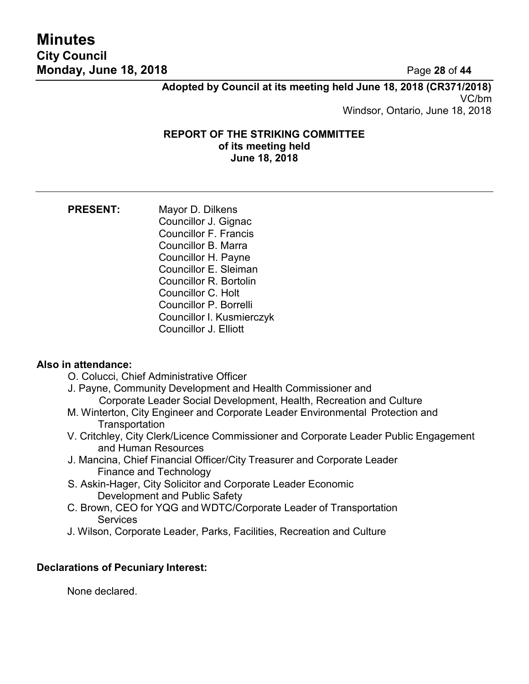# **Minutes City Council Monday, June 18, 2018** Page **28** of **44**

**Adopted by Council at its meeting held June 18, 2018 (CR371/2018)** VC/bm Windsor, Ontario, June 18, 2018

#### **REPORT OF THE STRIKING COMMITTEE of its meeting held June 18, 2018**

**PRESENT:** Mayor D. Dilkens Councillor J. Gignac Councillor F. Francis Councillor B. Marra Councillor H. Payne Councillor E. Sleiman Councillor R. Bortolin Councillor C. Holt Councillor P. Borrelli Councillor I. Kusmierczyk Councillor J. Elliott

## **Also in attendance:**

- O. Colucci, Chief Administrative Officer
- J. Payne, Community Development and Health Commissioner and Corporate Leader Social Development, Health, Recreation and Culture
- M. Winterton, City Engineer and Corporate Leader Environmental Protection and **Transportation**
- V. Critchley, City Clerk/Licence Commissioner and Corporate Leader Public Engagement and Human Resources
- J. Mancina, Chief Financial Officer/City Treasurer and Corporate Leader Finance and Technology
- S. Askin-Hager, City Solicitor and Corporate Leader Economic Development and Public Safety
- C. Brown, CEO for YQG and WDTC/Corporate Leader of Transportation **Services**
- J. Wilson, Corporate Leader, Parks, Facilities, Recreation and Culture

## **Declarations of Pecuniary Interest:**

None declared.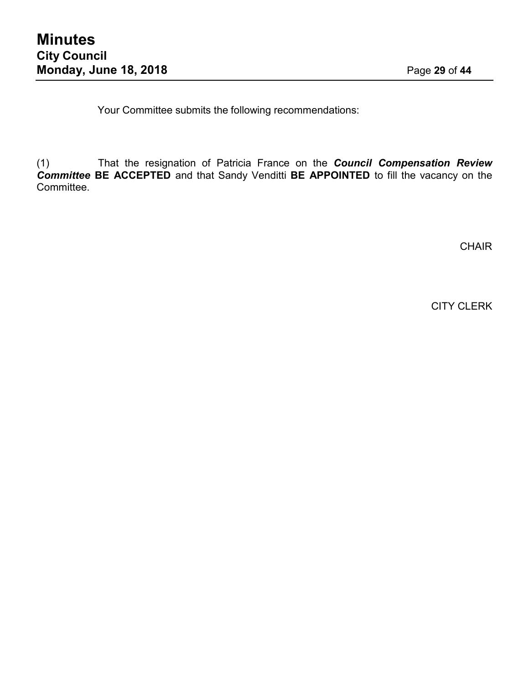Your Committee submits the following recommendations:

(1) That the resignation of Patricia France on the *Council Compensation Review Committee* **BE ACCEPTED** and that Sandy Venditti **BE APPOINTED** to fill the vacancy on the Committee.

**CHAIR** 

CITY CLERK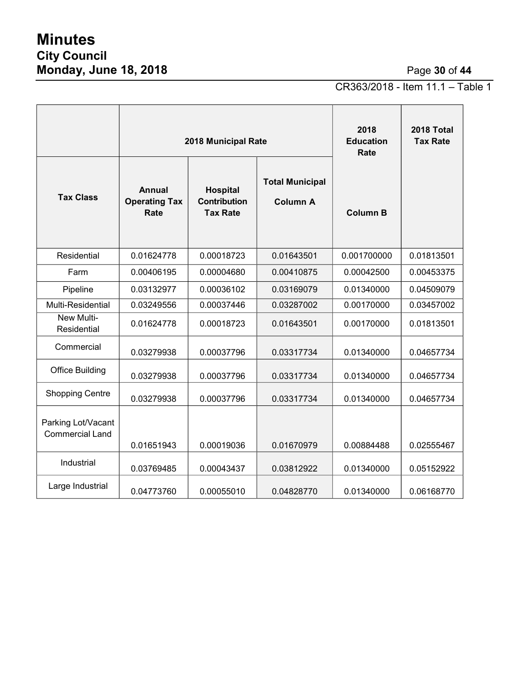# **Minutes City Council Monday, June 18, 2018** Page **30** of **44**

CR363/2018 - Item 11.1 – Table 1

|                                              | 2018 Municipal Rate                           |                                                    |                                           | 2018<br><b>Education</b><br>Rate | 2018 Total<br><b>Tax Rate</b> |
|----------------------------------------------|-----------------------------------------------|----------------------------------------------------|-------------------------------------------|----------------------------------|-------------------------------|
| <b>Tax Class</b>                             | <b>Annual</b><br><b>Operating Tax</b><br>Rate | Hospital<br><b>Contribution</b><br><b>Tax Rate</b> | <b>Total Municipal</b><br><b>Column A</b> | <b>Column B</b>                  |                               |
| Residential                                  | 0.01624778                                    | 0.00018723                                         | 0.01643501                                | 0.001700000                      | 0.01813501                    |
| Farm                                         | 0.00406195                                    | 0.00004680                                         | 0.00410875                                | 0.00042500                       | 0.00453375                    |
| Pipeline                                     | 0.03132977                                    | 0.00036102                                         | 0.03169079                                | 0.01340000                       | 0.04509079                    |
| <b>Multi-Residential</b>                     | 0.03249556                                    | 0.00037446                                         | 0.03287002                                | 0.00170000                       | 0.03457002                    |
| New Multi-<br>Residential                    | 0.01624778                                    | 0.00018723                                         | 0.01643501                                | 0.00170000                       | 0.01813501                    |
| Commercial                                   | 0.03279938                                    | 0.00037796                                         | 0.03317734                                | 0.01340000                       | 0.04657734                    |
| <b>Office Building</b>                       | 0.03279938                                    | 0.00037796                                         | 0.03317734                                | 0.01340000                       | 0.04657734                    |
| <b>Shopping Centre</b>                       | 0.03279938                                    | 0.00037796                                         | 0.03317734                                | 0.01340000                       | 0.04657734                    |
| Parking Lot/Vacant<br><b>Commercial Land</b> | 0.01651943                                    | 0.00019036                                         | 0.01670979                                | 0.00884488                       | 0.02555467                    |
| Industrial                                   | 0.03769485                                    | 0.00043437                                         | 0.03812922                                | 0.01340000                       | 0.05152922                    |
| Large Industrial                             | 0.04773760                                    | 0.00055010                                         | 0.04828770                                | 0.01340000                       | 0.06168770                    |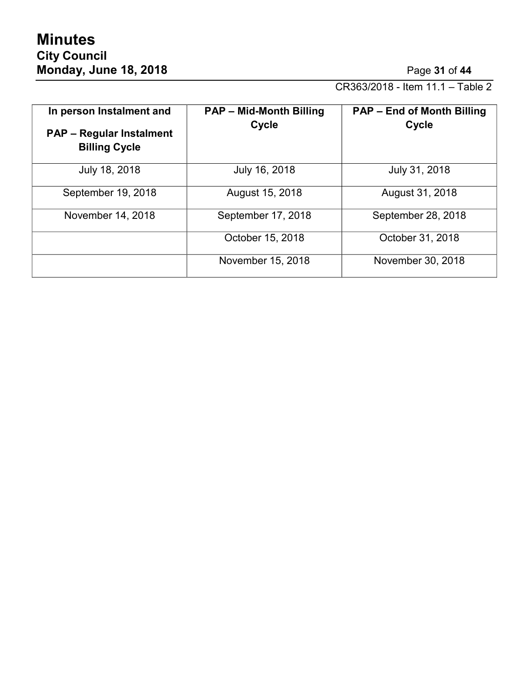CR363/2018 - Item 11.1 – Table 2

| In person Instalment and<br><b>PAP – Regular Instalment</b><br><b>Billing Cycle</b> | <b>PAP - Mid-Month Billing</b><br>Cycle | <b>PAP - End of Month Billing</b><br><b>Cycle</b> |
|-------------------------------------------------------------------------------------|-----------------------------------------|---------------------------------------------------|
| July 18, 2018                                                                       | July 16, 2018                           | July 31, 2018                                     |
| September 19, 2018                                                                  | August 15, 2018                         | August 31, 2018                                   |
| November 14, 2018                                                                   | September 17, 2018                      | September 28, 2018                                |
|                                                                                     | October 15, 2018                        | October 31, 2018                                  |
|                                                                                     | November 15, 2018                       | November 30, 2018                                 |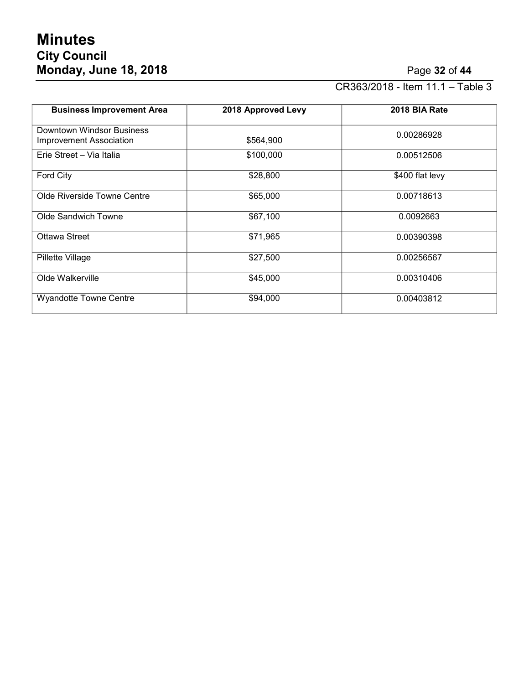# **Minutes City Council Monday, June 18, 2018** Page **32** of **44**

CR363/2018 - Item 11.1 – Table 3

| <b>Business Improvement Area</b>                            | 2018 Approved Levy | 2018 BIA Rate   |
|-------------------------------------------------------------|--------------------|-----------------|
| Downtown Windsor Business<br><b>Improvement Association</b> | \$564,900          | 0.00286928      |
| Erie Street - Via Italia                                    | \$100,000          | 0.00512506      |
| Ford City                                                   | \$28,800           | \$400 flat levy |
| Olde Riverside Towne Centre                                 | \$65,000           | 0.00718613      |
| Olde Sandwich Towne                                         | \$67,100           | 0.0092663       |
| Ottawa Street                                               | \$71,965           | 0.00390398      |
| Pillette Village                                            | \$27,500           | 0.00256567      |
| Olde Walkerville                                            | \$45,000           | 0.00310406      |
| <b>Wyandotte Towne Centre</b>                               | \$94,000           | 0.00403812      |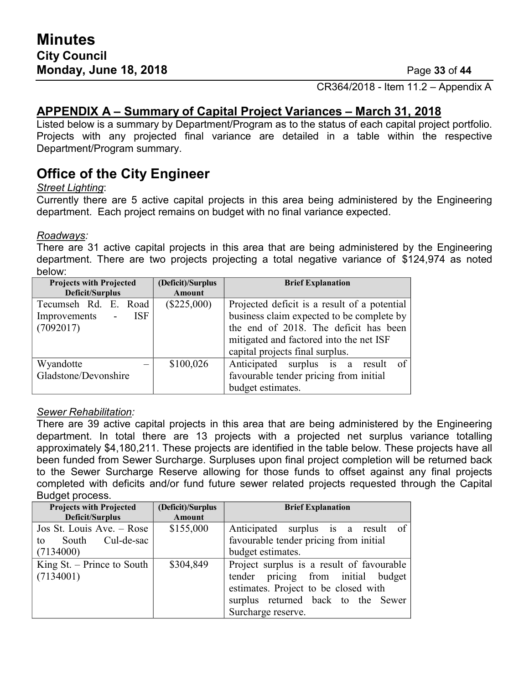CR364/2018 - Item 11.2 – Appendix A

## **APPENDIX A – Summary of Capital Project Variances – March 31, 2018**

Listed below is a summary by Department/Program as to the status of each capital project portfolio. Projects with any projected final variance are detailed in a table within the respective Department/Program summary.

# **Office of the City Engineer**

#### *Street Lighting*:

Currently there are 5 active capital projects in this area being administered by the Engineering department. Each project remains on budget with no final variance expected.

#### *Roadways:*

There are 31 active capital projects in this area that are being administered by the Engineering department. There are two projects projecting a total negative variance of \$124,974 as noted below:

| <b>Projects with Projected</b>       | (Deficit)/Surplus | <b>Brief Explanation</b>                     |  |
|--------------------------------------|-------------------|----------------------------------------------|--|
| Deficit/Surplus                      | <b>Amount</b>     |                                              |  |
| Tecumseh Rd. E. Road                 | $(\$225,000)$     | Projected deficit is a result of a potential |  |
| <b>ISF</b><br>Improvements<br>$\sim$ |                   | business claim expected to be complete by    |  |
| (7092017)                            |                   | the end of 2018. The deficit has been        |  |
|                                      |                   | mitigated and factored into the net ISF      |  |
|                                      |                   | capital projects final surplus.              |  |
| Wyandotte                            | \$100,026         | Anticipated surplus is a result<br>-of       |  |
| Gladstone/Devonshire                 |                   | favourable tender pricing from initial       |  |
|                                      |                   | budget estimates.                            |  |

#### *Sewer Rehabilitation:*

There are 39 active capital projects in this area that are being administered by the Engineering department. In total there are 13 projects with a projected net surplus variance totalling approximately \$4,180,211. These projects are identified in the table below. These projects have all been funded from Sewer Surcharge. Surpluses upon final project completion will be returned back to the Sewer Surcharge Reserve allowing for those funds to offset against any final projects completed with deficits and/or fund future sewer related projects requested through the Capital Budget process.

| <b>Projects with Projected</b> | (Deficit)/Surplus | <b>Brief Explanation</b>                  |
|--------------------------------|-------------------|-------------------------------------------|
| Deficit/Surplus                | Amount            |                                           |
| Jos St. Louis Ave. – Rose      | \$155,000         | Anticipated surplus is a result of        |
| South Cul-de-sac<br>to         |                   | favourable tender pricing from initial    |
| (7134000)                      |                   | budget estimates.                         |
| King St. $-$ Prince to South   | \$304,849         | Project surplus is a result of favourable |
| (7134001)                      |                   | tender pricing from initial budget        |
|                                |                   | estimates. Project to be closed with      |
|                                |                   | surplus returned back to the Sewer        |
|                                |                   | Surcharge reserve.                        |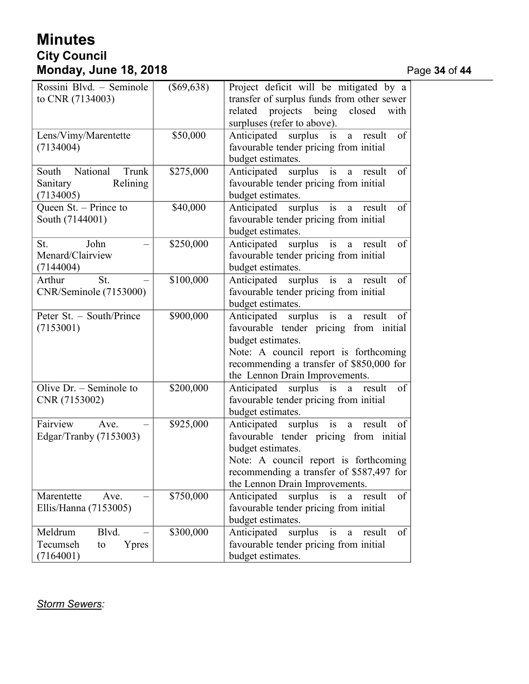# **Minutes City Council Monday, June 18, 2018** Page **34** of **44**

| Rossini Blvd. - Seminole<br>to CNR (7134003)                    | $(\$69,638)$ | Project deficit will be mitigated by a<br>transfer of surplus funds from other sewer<br>projects being closed<br>related<br>with<br>surpluses (refer to above).                                                                   |
|-----------------------------------------------------------------|--------------|-----------------------------------------------------------------------------------------------------------------------------------------------------------------------------------------------------------------------------------|
| Lens/Vimy/Marentette<br>(7134004)                               | \$50,000     | of<br>Anticipated surplus is<br>result<br>a<br>favourable tender pricing from initial<br>budget estimates.                                                                                                                        |
| National<br>Trunk<br>South<br>Relining<br>Sanitary<br>(7134005) | \$275,000    | i <sub>s</sub><br>of<br>Anticipated surplus<br>result<br>$\mathbf{a}$<br>favourable tender pricing from initial<br>budget estimates.                                                                                              |
| Queen St. - Prince to<br>South (7144001)                        | \$40,000     | Anticipated surplus is a<br>of<br>result<br>favourable tender pricing from initial<br>budget estimates.                                                                                                                           |
| John<br>St.<br>Menard/Clairview<br>(7144004)                    | \$250,000    | i <sub>s</sub><br>Anticipated surplus<br>of<br>result<br>a<br>favourable tender pricing from initial<br>budget estimates.                                                                                                         |
| St.<br>Arthur<br>CNR/Seminole (7153000)                         | \$100,000    | of<br>Anticipated surplus is a<br>result<br>favourable tender pricing from initial<br>budget estimates.                                                                                                                           |
| Peter St. - South/Prince<br>(7153001)                           | \$900,000    | Anticipated surplus is<br>of<br>result<br>a<br>favourable tender pricing from initial<br>budget estimates.<br>Note: A council report is forthcoming<br>recommending a transfer of \$850,000 for<br>the Lennon Drain Improvements. |
| Olive $Dr. -$ Seminole to<br>CNR (7153002)                      | \$200,000    | of<br>Anticipated surplus is<br>result<br>a a<br>favourable tender pricing from initial<br>budget estimates.                                                                                                                      |
| Fairview<br>Ave.<br>Edgar/Tranby (7153003)                      | \$925,000    | Anticipated surplus is<br>of<br>result<br>a<br>favourable tender pricing from initial<br>budget estimates.<br>Note: A council report is forthcoming<br>recommending a transfer of \$587,497 for<br>the Lennon Drain Improvements. |
| Marentette<br>Ave.<br>Ellis/Hanna (7153005)                     | \$750,000    | of<br>surplus<br>Anticipated<br>result<br>is<br>a<br>favourable tender pricing from initial<br>budget estimates.                                                                                                                  |
| Meldrum<br>Blvd.<br>Tecumseh<br>Ypres<br>to<br>(7164001)        | \$300,000    | Anticipated<br>surplus<br>of<br>result<br>1S<br>a<br>favourable tender pricing from initial<br>budget estimates.                                                                                                                  |

*Storm Sewers:*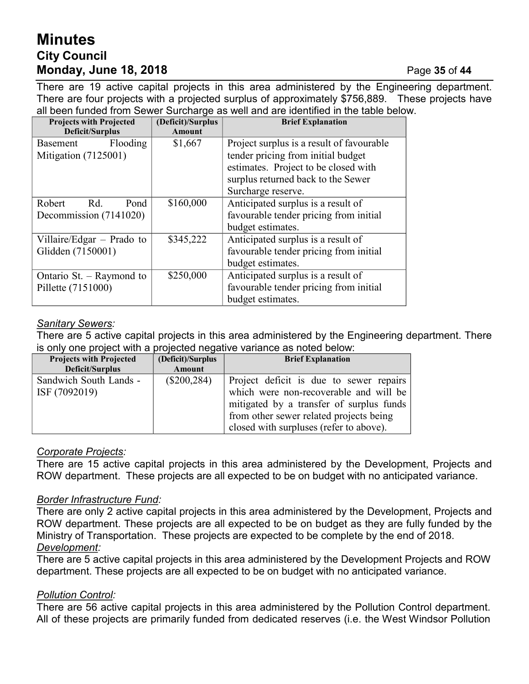# **Minutes City Council Monday, June 18, 2018** Page **35** of **44**

There are 19 active capital projects in this area administered by the Engineering department. There are four projects with a projected surplus of approximately \$756,889. These projects have all been funded from Sewer Surcharge as well and are identified in the table below.

| <b>Projects with Projected</b><br>Deficit/Surplus | (Deficit)/Surplus<br><b>Amount</b> | <b>Brief Explanation</b>                  |
|---------------------------------------------------|------------------------------------|-------------------------------------------|
| Flooding<br>Basement                              | \$1,667                            | Project surplus is a result of favourable |
| Mitigation (7125001)                              |                                    | tender pricing from initial budget        |
|                                                   |                                    | estimates. Project to be closed with      |
|                                                   |                                    | surplus returned back to the Sewer        |
|                                                   |                                    | Surcharge reserve.                        |
| Robert<br>Rd.<br>Pond                             | \$160,000                          | Anticipated surplus is a result of        |
| Decommission (7141020)                            |                                    | favourable tender pricing from initial    |
|                                                   |                                    | budget estimates.                         |
| Villaire/Edgar – Prado to                         | \$345,222                          | Anticipated surplus is a result of        |
| Glidden (7150001)                                 |                                    | favourable tender pricing from initial    |
|                                                   |                                    | budget estimates.                         |
| Ontario St. $-$ Raymond to                        | \$250,000                          | Anticipated surplus is a result of        |
| Pillette (7151000)                                |                                    | favourable tender pricing from initial    |
|                                                   |                                    | budget estimates.                         |

## *Sanitary Sewers:*

There are 5 active capital projects in this area administered by the Engineering department. There is only one project with a projected negative variance as noted below:

| <b>Projects with Projected</b> | (Deficit)/Surplus | <b>Brief Explanation</b>                 |
|--------------------------------|-------------------|------------------------------------------|
| Deficit/Surplus                | Amount            |                                          |
| Sandwich South Lands -         | $(\$200,284)$     | Project deficit is due to sewer repairs  |
| ISF (7092019)                  |                   | which were non-recoverable and will be   |
|                                |                   | mitigated by a transfer of surplus funds |
|                                |                   | from other sewer related projects being  |
|                                |                   | closed with surpluses (refer to above).  |

## *Corporate Projects:*

There are 15 active capital projects in this area administered by the Development, Projects and ROW department. These projects are all expected to be on budget with no anticipated variance.

## *Border Infrastructure Fund:*

There are only 2 active capital projects in this area administered by the Development, Projects and ROW department. These projects are all expected to be on budget as they are fully funded by the Ministry of Transportation. These projects are expected to be complete by the end of 2018. *Development:*

There are 5 active capital projects in this area administered by the Development Projects and ROW department. These projects are all expected to be on budget with no anticipated variance.

## *Pollution Control:*

There are 56 active capital projects in this area administered by the Pollution Control department. All of these projects are primarily funded from dedicated reserves (i.e. the West Windsor Pollution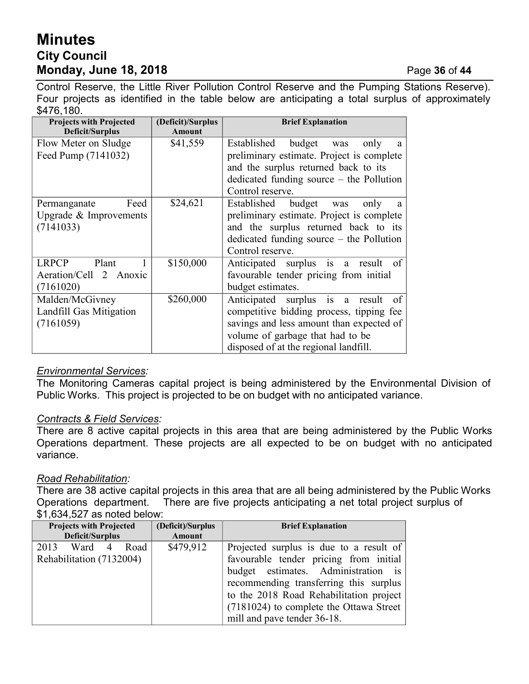# **Minutes City Council Monday, June 18, 2018** Page **36** of **44**

Control Reserve, the Little River Pollution Control Reserve and the Pumping Stations Reserve). Four projects as identified in the table below are anticipating a total surplus of approximately \$476,180.

| <b>Projects with Projected</b><br>Deficit/Surplus | (Deficit)/Surplus<br>Amount | <b>Brief Explanation</b>                   |
|---------------------------------------------------|-----------------------------|--------------------------------------------|
| Flow Meter on Sludge                              | \$41,559                    | Established budget<br>was<br>only<br>a     |
| Feed Pump (7141032)                               |                             | preliminary estimate. Project is complete  |
|                                                   |                             | and the surplus returned back to its       |
|                                                   |                             | dedicated funding source $-$ the Pollution |
|                                                   |                             | Control reserve.                           |
| Feed<br>Permanganate                              | \$24,621                    | Established budget was<br>only<br>a        |
| Upgrade & Improvements                            |                             | preliminary estimate. Project is complete  |
| (7141033)                                         |                             | and the surplus returned back to its       |
|                                                   |                             | dedicated funding source $-$ the Pollution |
|                                                   |                             | Control reserve.                           |
| <b>LRPCP</b><br>Plant                             | \$150,000                   | Anticipated surplus is a result of         |
| Aeration/Cell 2 Anoxic                            |                             | favourable tender pricing from initial     |
| (7161020)                                         |                             | budget estimates.                          |
| Malden/McGivney                                   | \$260,000                   | Anticipated surplus is a result<br>of      |
| Landfill Gas Mitigation                           |                             | competitive bidding process, tipping fee   |
| (7161059)                                         |                             | savings and less amount than expected of   |
|                                                   |                             | volume of garbage that had to be           |
|                                                   |                             | disposed of at the regional landfill.      |

## *Environmental Services:*

The Monitoring Cameras capital project is being administered by the Environmental Division of Public Works. This project is projected to be on budget with no anticipated variance.

#### *Contracts & Field Services:*

There are 8 active capital projects in this area that are being administered by the Public Works Operations department. These projects are all expected to be on budget with no anticipated variance.

## *Road Rehabilitation:*

There are 38 active capital projects in this area that are all being administered by the Public Works Operations department. There are five projects anticipating a net total project surplus of \$1,634,527 as noted below:

|                 | <b>Projects with Projected</b> |                | (Deficit)/Surplus | <b>Brief Explanation</b> |                                           |
|-----------------|--------------------------------|----------------|-------------------|--------------------------|-------------------------------------------|
| Deficit/Surplus |                                |                |                   | Amount                   |                                           |
| 2013            | Ward                           | $\overline{4}$ | Road              | \$479,912                | Projected surplus is due to a result of   |
|                 | Rehabilitation (7132004)       |                |                   |                          | favourable tender pricing from initial    |
|                 |                                |                |                   |                          | budget estimates. Administration is       |
|                 |                                |                |                   |                          | recommending transferring this surplus    |
|                 |                                |                |                   |                          | to the 2018 Road Rehabilitation project   |
|                 |                                |                |                   |                          | $(7181024)$ to complete the Ottawa Street |
|                 |                                |                |                   |                          | mill and pave tender 36-18.               |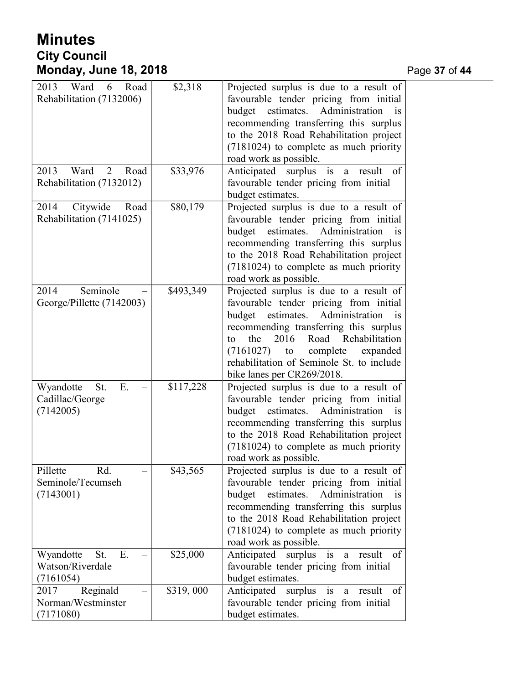# **Minutes City Council Monday, June 18, 2018** Page **37** of **44**

| 2013<br>Ward<br>Road<br>6              | \$2,318   | Projected surplus is due to a result of                                            |
|----------------------------------------|-----------|------------------------------------------------------------------------------------|
| Rehabilitation (7132006)               |           | favourable tender pricing from initial                                             |
|                                        |           | estimates.<br>Administration<br>budget<br>$\overline{1}S$                          |
|                                        |           | recommending transferring this surplus                                             |
|                                        |           | to the 2018 Road Rehabilitation project                                            |
|                                        |           | (7181024) to complete as much priority                                             |
|                                        |           | road work as possible.                                                             |
| 2013<br>Ward<br>$\overline{2}$<br>Road | \$33,976  | Anticipated surplus is<br>of<br>result<br>$\mathbf{a}$                             |
| Rehabilitation (7132012)               |           | favourable tender pricing from initial                                             |
|                                        |           | budget estimates.                                                                  |
| 2014<br>Citywide<br>Road               | \$80,179  | Projected surplus is due to a result of                                            |
| Rehabilitation (7141025)               |           | favourable tender pricing from initial                                             |
|                                        |           | budget<br>estimates.<br>Administration<br>is                                       |
|                                        |           | recommending transferring this surplus                                             |
|                                        |           | to the 2018 Road Rehabilitation project                                            |
|                                        |           | (7181024) to complete as much priority                                             |
|                                        |           | road work as possible.                                                             |
| Seminole<br>2014                       | \$493,349 | Projected surplus is due to a result of                                            |
| George/Pillette (7142003)              |           | favourable tender pricing from initial                                             |
|                                        |           | estimates.<br>Administration<br>budget<br>is                                       |
|                                        |           | recommending transferring this surplus<br>2016<br>Road Rehabilitation<br>the<br>tο |
|                                        |           | complete<br>(7161027)<br>expanded<br>to                                            |
|                                        |           | rehabilitation of Seminole St. to include                                          |
|                                        |           | bike lanes per CR269/2018.                                                         |
| Wyandotte<br>E.<br>St.                 | \$117,228 | Projected surplus is due to a result of                                            |
| Cadillac/George                        |           | favourable tender pricing from initial                                             |
| (7142005)                              |           | Administration<br>budget<br>estimates.<br>is                                       |
|                                        |           | recommending transferring this surplus                                             |
|                                        |           | to the 2018 Road Rehabilitation project                                            |
|                                        |           | (7181024) to complete as much priority                                             |
|                                        |           | road work as possible.                                                             |
| Pillette<br>Rd.                        | \$43,565  | Projected surplus is due to a result of                                            |
| Seminole/Tecumseh                      |           | favourable tender pricing from initial                                             |
| (7143001)                              |           | estimates.<br>budget<br>Administration<br>is                                       |
|                                        |           | recommending transferring this surplus                                             |
|                                        |           | to the 2018 Road Rehabilitation project                                            |
|                                        |           | (7181024) to complete as much priority                                             |
|                                        |           | road work as possible.                                                             |
| St.<br>Ε.<br>Wyandotte                 | \$25,000  | Anticipated surplus is<br>a result<br>of                                           |
| Watson/Riverdale                       |           | favourable tender pricing from initial                                             |
| (7161054)                              |           | budget estimates.                                                                  |
| Reginald<br>2017                       | \$319,000 | Anticipated surplus is<br>result<br>- of<br>$\mathbf{a}$                           |
| Norman/Westminster                     |           | favourable tender pricing from initial                                             |
| (7171080)                              |           | budget estimates.                                                                  |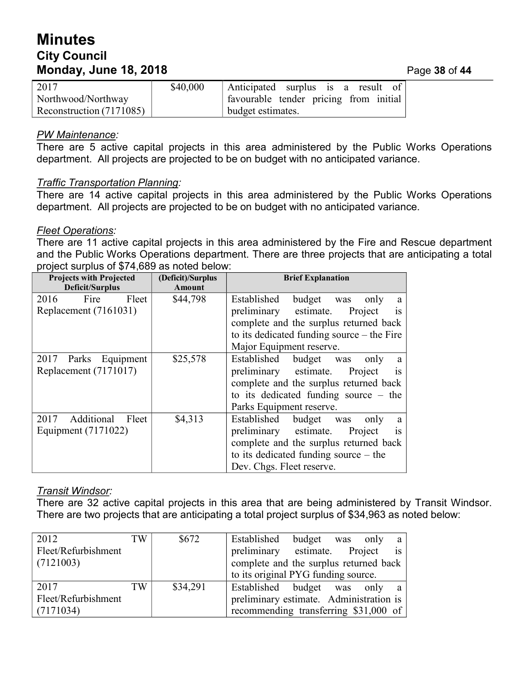# **Minutes City Council Monday, June 18, 2018** Page **38** of **44**

| 2017                     | \$40,000 | Anticipated surplus is a result of     |  |  |
|--------------------------|----------|----------------------------------------|--|--|
| Northwood/Northway       |          | favourable tender pricing from initial |  |  |
| Reconstruction (7171085) |          | budget estimates.                      |  |  |

#### *PW Maintenance:*

There are 5 active capital projects in this area administered by the Public Works Operations department. All projects are projected to be on budget with no anticipated variance.

### *Traffic Transportation Planning:*

There are 14 active capital projects in this area administered by the Public Works Operations department. All projects are projected to be on budget with no anticipated variance.

#### *Fleet Operations:*

There are 11 active capital projects in this area administered by the Fire and Rescue department and the Public Works Operations department. There are three projects that are anticipating a total project surplus of \$74,689 as noted below:

| <b>Projects with Projected</b><br>Deficit/Surplus | (Deficit)/Surplus<br><b>Amount</b> | <b>Brief Explanation</b>                     |
|---------------------------------------------------|------------------------------------|----------------------------------------------|
| Fire<br>Fleet<br>2016                             | \$44,798                           | Established<br>budget<br>only<br>was<br>a    |
| Replacement (7161031)                             |                                    | preliminary estimate.<br>Project<br>1S       |
|                                                   |                                    | complete and the surplus returned back       |
|                                                   |                                    | to its dedicated funding source $-$ the Fire |
|                                                   |                                    | Major Equipment reserve.                     |
| 2017 Parks Equipment                              | \$25,578                           | Established budget<br>only<br>was<br>a.      |
| Replacement (7171017)                             |                                    | preliminary estimate.<br>Project<br>is       |
|                                                   |                                    | complete and the surplus returned back       |
|                                                   |                                    | to its dedicated funding source $-$ the      |
|                                                   |                                    | Parks Equipment reserve.                     |
| 2017 Additional<br>Fleet                          | \$4,313                            | Established budget was<br>only<br>a          |
| Equipment (7171022)                               |                                    | preliminary estimate.<br>Project<br>1S       |
|                                                   |                                    | complete and the surplus returned back       |
|                                                   |                                    | to its dedicated funding source $-$ the      |
|                                                   |                                    | Dev. Chgs. Fleet reserve.                    |

## *Transit Windsor:*

There are 32 active capital projects in this area that are being administered by Transit Windsor. There are two projects that are anticipating a total project surplus of \$34,963 as noted below:

| 2012                | TW | \$672    | Established budget was only             |  | a             |
|---------------------|----|----------|-----------------------------------------|--|---------------|
| Fleet/Refurbishment |    |          | preliminary estimate. Project           |  | $\frac{1}{1}$ |
| (7121003)           |    |          | complete and the surplus returned back  |  |               |
|                     |    |          | to its original PYG funding source.     |  |               |
| 2017                | TW | \$34,291 | Established budget was only a           |  |               |
| Fleet/Refurbishment |    |          | preliminary estimate. Administration is |  |               |
| (7171034)           |    |          | recommending transferring \$31,000 of   |  |               |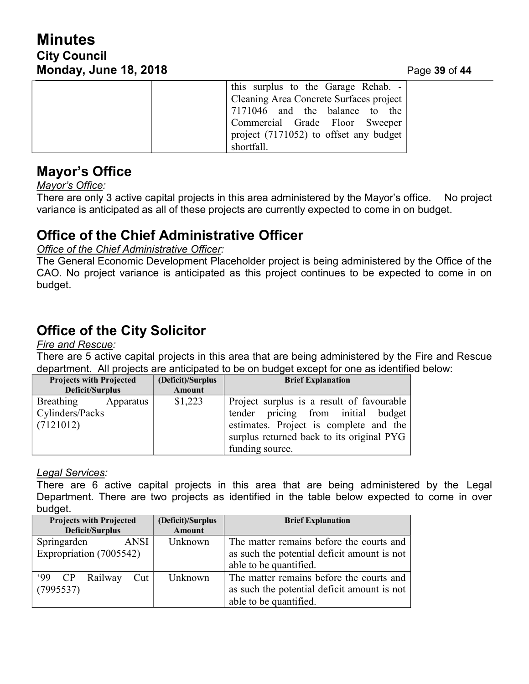# **Minutes City Council Monday, June 18, 2018**

| Page 39 of 44 |  |  |  |
|---------------|--|--|--|
|---------------|--|--|--|

| this surplus to the Garage Rehab. $-$    |
|------------------------------------------|
| Cleaning Area Concrete Surfaces project  |
| 7171046 and the balance to the           |
| Commercial Grade Floor Sweeper           |
| project $(7171052)$ to offset any budget |
| shortfall.                               |

## **Mayor's Office**

*Mayor's Office:*

There are only 3 active capital projects in this area administered by the Mayor's office. No project variance is anticipated as all of these projects are currently expected to come in on budget.

# **Office of the Chief Administrative Officer**

*Office of the Chief Administrative Officer:*

The General Economic Development Placeholder project is being administered by the Office of the CAO. No project variance is anticipated as this project continues to be expected to come in on budget.

# **Office of the City Solicitor**

*Fire and Rescue:*

There are 5 active capital projects in this area that are being administered by the Fire and Rescue department. All projects are anticipated to be on budget except for one as identified below:

| <b>Projects with Projected</b> |           | (Deficit)/Surplus | <b>Brief Explanation</b>                  |
|--------------------------------|-----------|-------------------|-------------------------------------------|
| Deficit/Surplus                |           | Amount            |                                           |
| Breathing                      | Apparatus | \$1,223           | Project surplus is a result of favourable |
| Cylinders/Packs                |           |                   | tender pricing from initial budget        |
| (7121012)                      |           |                   | estimates. Project is complete and the    |
|                                |           |                   | surplus returned back to its original PYG |
|                                |           |                   | funding source.                           |

## *Legal Services:*

There are 6 active capital projects in this area that are being administered by the Legal Department. There are two projects as identified in the table below expected to come in over budget.

| <b>Projects with Projected</b> | (Deficit)/Surplus | <b>Brief Explanation</b>                    |
|--------------------------------|-------------------|---------------------------------------------|
| <b>Deficit/Surplus</b>         | <b>Amount</b>     |                                             |
| Springarden<br><b>ANSI</b>     | Unknown           | The matter remains before the courts and    |
| Expropriation (7005542)        |                   | as such the potential deficit amount is not |
|                                |                   | able to be quantified.                      |
| $99$ CP<br>Railway<br>Cut      | Unknown           | The matter remains before the courts and    |
| (7995537)                      |                   | as such the potential deficit amount is not |
|                                |                   | able to be quantified.                      |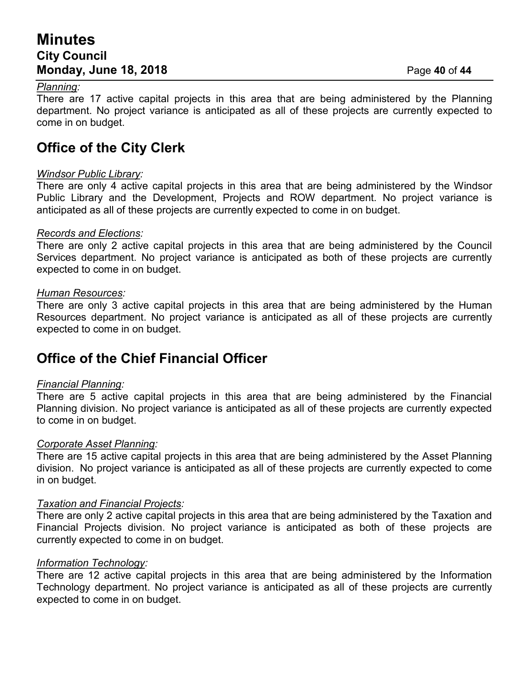## **Minutes City Council Monday, June 18, 2018** Page **40** of **44**

#### *Planning:*

There are 17 active capital projects in this area that are being administered by the Planning department. No project variance is anticipated as all of these projects are currently expected to come in on budget.

# **Office of the City Clerk**

#### *Windsor Public Library:*

There are only 4 active capital projects in this area that are being administered by the Windsor Public Library and the Development, Projects and ROW department. No project variance is anticipated as all of these projects are currently expected to come in on budget.

#### *Records and Elections:*

There are only 2 active capital projects in this area that are being administered by the Council Services department. No project variance is anticipated as both of these projects are currently expected to come in on budget.

#### *Human Resources:*

There are only 3 active capital projects in this area that are being administered by the Human Resources department. No project variance is anticipated as all of these projects are currently expected to come in on budget.

# **Office of the Chief Financial Officer**

#### *Financial Planning:*

There are 5 active capital projects in this area that are being administered by the Financial Planning division. No project variance is anticipated as all of these projects are currently expected to come in on budget.

#### *Corporate Asset Planning:*

There are 15 active capital projects in this area that are being administered by the Asset Planning division. No project variance is anticipated as all of these projects are currently expected to come in on budget.

#### *Taxation and Financial Projects:*

There are only 2 active capital projects in this area that are being administered by the Taxation and Financial Projects division. No project variance is anticipated as both of these projects are currently expected to come in on budget.

#### *Information Technology:*

There are 12 active capital projects in this area that are being administered by the Information Technology department. No project variance is anticipated as all of these projects are currently expected to come in on budget.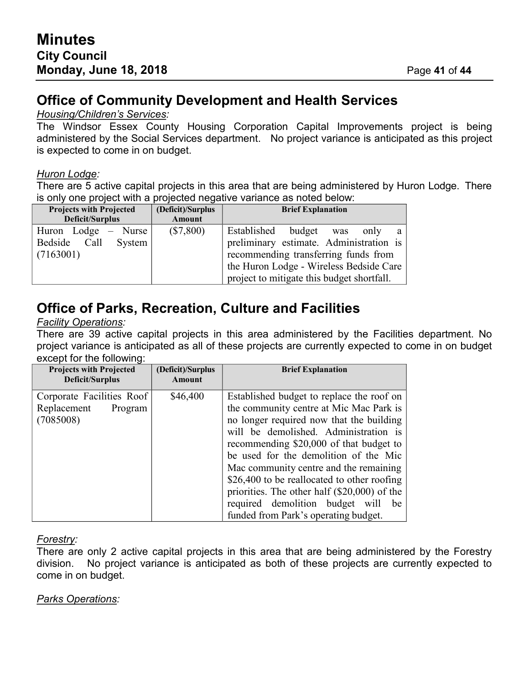# **Office of Community Development and Health Services**

### *Housing/Children's Services:*

The Windsor Essex County Housing Corporation Capital Improvements project is being administered by the Social Services department. No project variance is anticipated as this project is expected to come in on budget.

### *Huron Lodge:*

There are 5 active capital projects in this area that are being administered by Huron Lodge. There is only one project with a projected negative variance as noted below:

| <b>Projects with Projected</b> | (Deficit)/Surplus | <b>Brief Explanation</b>                   |
|--------------------------------|-------------------|--------------------------------------------|
| Deficit/Surplus                | Amount            |                                            |
| Huron Lodge $-$ Nurse          | $(\$7,800)$       | Established budget was<br>only<br>a        |
| Bedside Call System            |                   | preliminary estimate. Administration is    |
| (7163001)                      |                   | recommending transferring funds from       |
|                                |                   | the Huron Lodge - Wireless Bedside Care    |
|                                |                   | project to mitigate this budget shortfall. |

# **Office of Parks, Recreation, Culture and Facilities**

### *Facility Operations:*

There are 39 active capital projects in this area administered by the Facilities department. No project variance is anticipated as all of these projects are currently expected to come in on budget except for the following:

| <b>Projects with Projected</b><br>Deficit/Surplus                | (Deficit)/Surplus<br>Amount | <b>Brief Explanation</b>                                                                                                                                                                                                                                                                                                                                                                                                                                                                  |
|------------------------------------------------------------------|-----------------------------|-------------------------------------------------------------------------------------------------------------------------------------------------------------------------------------------------------------------------------------------------------------------------------------------------------------------------------------------------------------------------------------------------------------------------------------------------------------------------------------------|
| Corporate Facilities Roof<br>Replacement<br>Program<br>(7085008) | \$46,400                    | Established budget to replace the roof on<br>the community centre at Mic Mac Park is<br>no longer required now that the building<br>will be demolished. Administration is<br>recommending \$20,000 of that budget to<br>be used for the demolition of the Mic<br>Mac community centre and the remaining<br>\$26,400 to be reallocated to other roofing<br>priorities. The other half $(\$20,000)$ of the<br>required demolition budget will<br>be<br>funded from Park's operating budget. |

#### *Forestry:*

There are only 2 active capital projects in this area that are being administered by the Forestry division. No project variance is anticipated as both of these projects are currently expected to come in on budget.

## *Parks Operations:*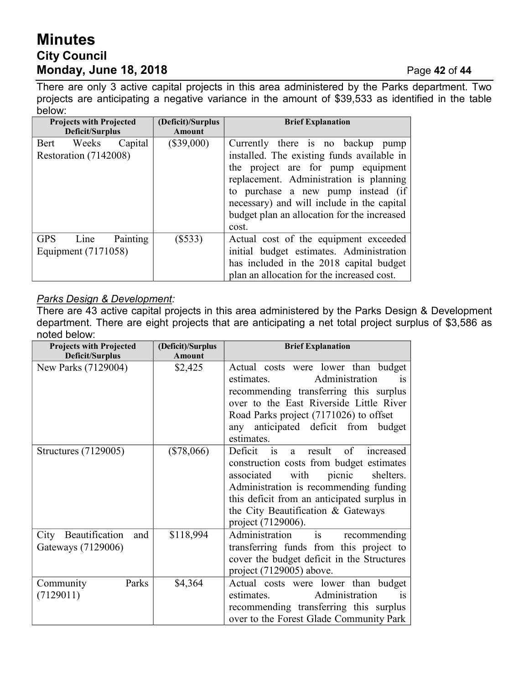# **Minutes City Council Monday, June 18, 2018** Page **42** of **44**

There are only 3 active capital projects in this area administered by the Parks department. Two projects are anticipating a negative variance in the amount of \$39,533 as identified in the table below:

| <b>Projects with Projected</b><br>Deficit/Surplus |            | (Deficit)/Surplus<br>Amount | <b>Brief Explanation</b>                                                         |                                             |
|---------------------------------------------------|------------|-----------------------------|----------------------------------------------------------------------------------|---------------------------------------------|
|                                                   | Bert Weeks | Capital                     | $(\$39,000)$                                                                     | Currently there is no backup pump           |
| Restoration (7142008)                             |            |                             | installed. The existing funds available in<br>the project are for pump equipment |                                             |
|                                                   |            |                             |                                                                                  | replacement. Administration is planning     |
|                                                   |            |                             |                                                                                  | to purchase a new pump instead (if          |
|                                                   |            |                             |                                                                                  | necessary) and will include in the capital  |
|                                                   |            |                             |                                                                                  | budget plan an allocation for the increased |
|                                                   |            |                             |                                                                                  | cost.                                       |
| <b>GPS</b>                                        | Line       | Painting                    | $(\$533)$                                                                        | Actual cost of the equipment exceeded       |
| Equipment (7171058)                               |            |                             | initial budget estimates. Administration                                         |                                             |
|                                                   |            |                             |                                                                                  | has included in the 2018 capital budget     |
|                                                   |            |                             |                                                                                  | plan an allocation for the increased cost.  |

## *Parks Design & Development:*

There are 43 active capital projects in this area administered by the Parks Design & Development department. There are eight projects that are anticipating a net total project surplus of \$3,586 as noted below:

| <b>Projects with Projected</b>                   | (Deficit)/Surplus | <b>Brief Explanation</b>                                                                                                                                                                                                                                                                                  |
|--------------------------------------------------|-------------------|-----------------------------------------------------------------------------------------------------------------------------------------------------------------------------------------------------------------------------------------------------------------------------------------------------------|
| <b>Deficit/Surplus</b>                           | <b>Amount</b>     |                                                                                                                                                                                                                                                                                                           |
| New Parks (7129004)                              | \$2,425           | Actual costs were lower than budget<br>Administration<br>estimates.<br><sup>is</sup><br>recommending transferring this surplus<br>over to the East Riverside Little River<br>Road Parks project (7171026) to offset<br>any anticipated deficit from budget<br>estimates.                                  |
| Structures (7129005)                             | $(\$78,066)$      | of<br>Deficit<br>result<br>increased<br><sup>is</sup><br>a.<br>construction costs from budget estimates<br>with<br>picnic<br>associated<br>shelters.<br>Administration is recommending funding<br>this deficit from an anticipated surplus in<br>the City Beautification & Gateways<br>project (7129006). |
| City Beautification<br>and<br>Gateways (7129006) | \$118,994         | Administration<br>is<br>recommending<br>transferring funds from this project to<br>cover the budget deficit in the Structures<br>project (7129005) above.                                                                                                                                                 |
| Parks<br>Community<br>(7129011)                  | \$4,364           | Actual costs were lower than budget<br>Administration<br>estimates.<br>1S<br>recommending transferring this surplus<br>over to the Forest Glade Community Park                                                                                                                                            |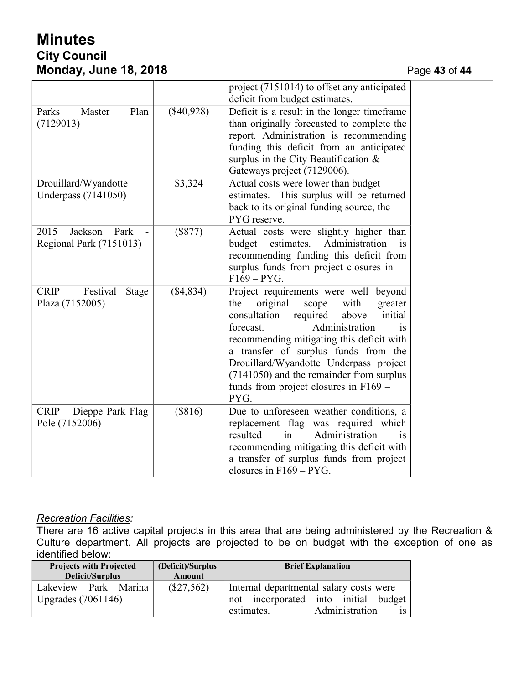# **Minutes City Council Monday, June 18, 2018** Page **43** of **44**

|                                      |              | project (7151014) to offset any anticipated<br>deficit from budget estimates. |
|--------------------------------------|--------------|-------------------------------------------------------------------------------|
|                                      |              |                                                                               |
| Parks<br>Plan<br>Master              | $(\$40,928)$ | Deficit is a result in the longer timeframe                                   |
| (7129013)                            |              | than originally forecasted to complete the                                    |
|                                      |              | report. Administration is recommending                                        |
|                                      |              | funding this deficit from an anticipated                                      |
|                                      |              | surplus in the City Beautification $\&$                                       |
|                                      |              | Gateways project (7129006).                                                   |
| Drouillard/Wyandotte                 | \$3,324      | Actual costs were lower than budget                                           |
|                                      |              |                                                                               |
| Underpass (7141050)                  |              | estimates. This surplus will be returned                                      |
|                                      |              | back to its original funding source, the                                      |
|                                      |              | PYG reserve.                                                                  |
| 2015<br>Jackson<br>Park              | $(\$877)$    | Actual costs were slightly higher than                                        |
| Regional Park (7151013)              |              | estimates.<br>budget<br>Administration<br>is                                  |
|                                      |              | recommending funding this deficit from                                        |
|                                      |              | surplus funds from project closures in                                        |
|                                      |              | $F169 - PYG.$                                                                 |
| Festival<br>$CRIP -$<br><b>Stage</b> | (\$4,834)    | Project requirements were well beyond                                         |
| Plaza (7152005)                      |              | original<br>with<br>greater<br>the<br>scope                                   |
|                                      |              | consultation<br>required<br>above<br>initial                                  |
|                                      |              | Administration                                                                |
|                                      |              | forecast.<br><b>1S</b>                                                        |
|                                      |              | recommending mitigating this deficit with                                     |
|                                      |              | a transfer of surplus funds from the                                          |
|                                      |              | Drouillard/Wyandotte Underpass project                                        |
|                                      |              | (7141050) and the remainder from surplus                                      |
|                                      |              | funds from project closures in $F169 -$                                       |
|                                      |              | PYG.                                                                          |
| CRIP - Dieppe Park Flag              | (\$816)      | Due to unforeseen weather conditions, a                                       |
| Pole (7152006)                       |              | replacement flag was required which                                           |
|                                      |              | resulted<br>Administration<br>in<br><b>1S</b>                                 |
|                                      |              | recommending mitigating this deficit with                                     |
|                                      |              |                                                                               |
|                                      |              | a transfer of surplus funds from project                                      |
|                                      |              | closures in $F169 - PYG$ .                                                    |

#### *Recreation Facilities:*

There are 16 active capital projects in this area that are being administered by the Recreation & Culture department. All projects are projected to be on budget with the exception of one as identified below:

| <b>Projects with Projected</b><br>Deficit/Surplus | (Deficit)/Surplus<br>Amount | <b>Brief Explanation</b>                                                                                                 |
|---------------------------------------------------|-----------------------------|--------------------------------------------------------------------------------------------------------------------------|
| Park Marina<br>Lakeview<br>Upgrades $(7061146)$   | $(\$27,562)$                | Internal departmental salary costs were<br>incorporated into initial budget<br>not<br>Administration<br>estimates.<br>1S |